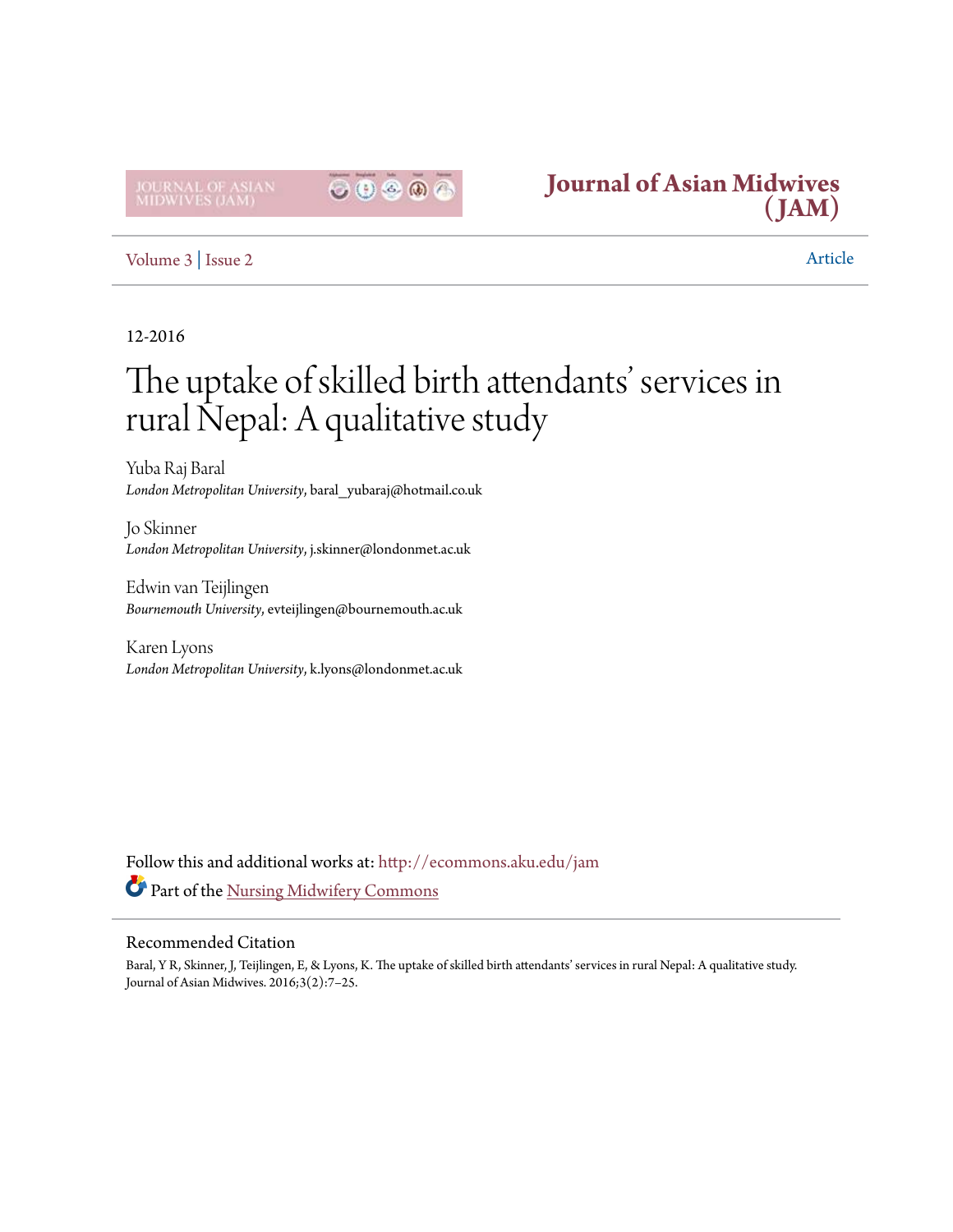**IOURNAL OF<br>MIDWIVES (J** 





# [Volume 3](http://ecommons.aku.edu/jam/vol3?utm_source=ecommons.aku.edu%2Fjam%2Fvol3%2Fiss2%2F3&utm_medium=PDF&utm_campaign=PDFCoverPages) | [Issue 2](http://ecommons.aku.edu/jam/vol3/iss2?utm_source=ecommons.aku.edu%2Fjam%2Fvol3%2Fiss2%2F3&utm_medium=PDF&utm_campaign=PDFCoverPages) Article

# 12-2016

# The uptake of skilled birth attendants' services in rural Nepal: A qualitative study

Yuba Raj Baral *London Metropolitan University*, baral\_yubaraj@hotmail.co.uk

Jo Skinner *London Metropolitan University*, j.skinner@londonmet.ac.uk

Edwin van Teijlingen *Bournemouth University*, evteijlingen@bournemouth.ac.uk

Karen Lyons *London Metropolitan University*, k.lyons@londonmet.ac.uk

Follow this and additional works at: [http://ecommons.aku.edu/jam](http://ecommons.aku.edu/jam?utm_source=ecommons.aku.edu%2Fjam%2Fvol3%2Fiss2%2F3&utm_medium=PDF&utm_campaign=PDFCoverPages) Part of the [Nursing Midwifery Commons](http://network.bepress.com/hgg/discipline/722?utm_source=ecommons.aku.edu%2Fjam%2Fvol3%2Fiss2%2F3&utm_medium=PDF&utm_campaign=PDFCoverPages)

#### Recommended Citation

Baral, Y R, Skinner, J, Teijlingen, E, & Lyons, K. The uptake of skilled birth attendants' services in rural Nepal: A qualitative study. Journal of Asian Midwives. 2016;3(2):7–25.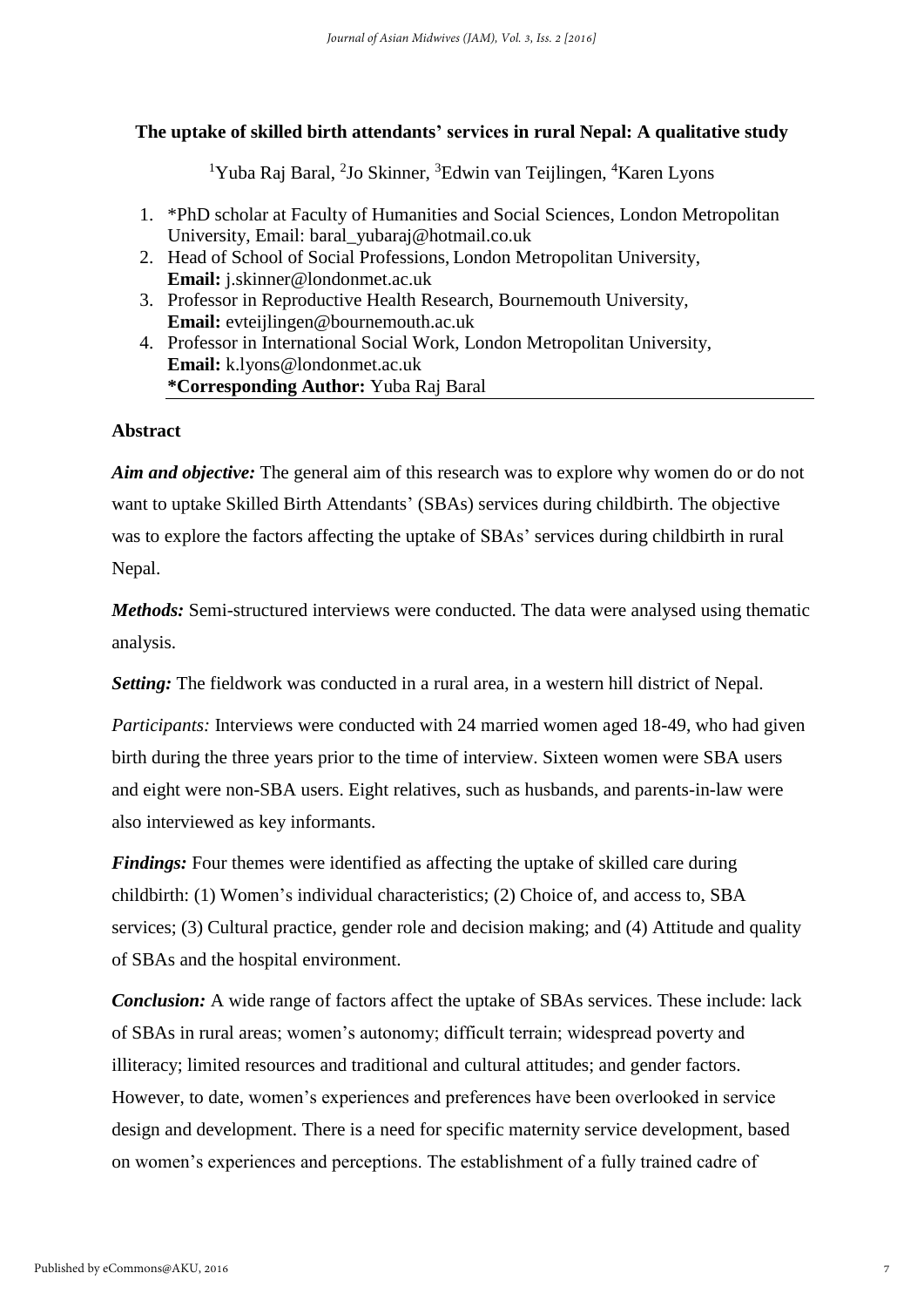# **The uptake of skilled birth attendants' services in rural Nepal: A qualitative study**

<sup>1</sup>Yuba Raj Baral, <sup>2</sup>Jo Skinner, <sup>3</sup>Edwin van Teijlingen, <sup>4</sup>Karen Lyons

- 1. \*PhD scholar at Faculty of Humanities and Social Sciences, London Metropolitan University, Email: baral\_yubaraj@hotmail.co.uk
- 2. Head of School of Social Professions, London Metropolitan University, **Email:** j.skinner@londonmet.ac.uk
- 3. Professor in Reproductive Health [Research,](file://///research) Bournemouth University, **Email:** evteijlingen@bournemouth.ac.uk
- 4. Professor in International Social Work, London Metropolitan University, **Email:** k.lyons@londonmet.ac.uk **\*Corresponding Author:** Yuba Raj Baral

## **Abstract**

*Aim and objective:* The general aim of this research was to explore why women do or do not want to uptake Skilled Birth Attendants' (SBAs) services during childbirth. The objective was to explore the factors affecting the uptake of SBAs' services during childbirth in rural Nepal.

*Methods:* Semi-structured interviews were conducted. The data were analysed using thematic analysis.

*Setting:* The fieldwork was conducted in a rural area, in a western hill district of Nepal.

*Participants:* Interviews were conducted with 24 married women aged 18-49, who had given birth during the three years prior to the time of interview. Sixteen women were SBA users and eight were non-SBA users. Eight relatives, such as husbands, and parents-in-law were also interviewed as key informants.

*Findings:* Four themes were identified as affecting the uptake of skilled care during childbirth: (1) Women's individual characteristics; (2) Choice of, and access to, SBA services; (3) Cultural practice, gender role and decision making; and (4) Attitude and quality of SBAs and the hospital environment.

*Conclusion:* A wide range of factors affect the uptake of SBAs services. These include: lack of SBAs in rural areas; women's autonomy; difficult terrain; widespread poverty and illiteracy; limited resources and traditional and cultural attitudes; and gender factors. However, to date, women's experiences and preferences have been overlooked in service design and development. There is a need for specific maternity service development, based on women's experiences and perceptions. The establishment of a fully trained cadre of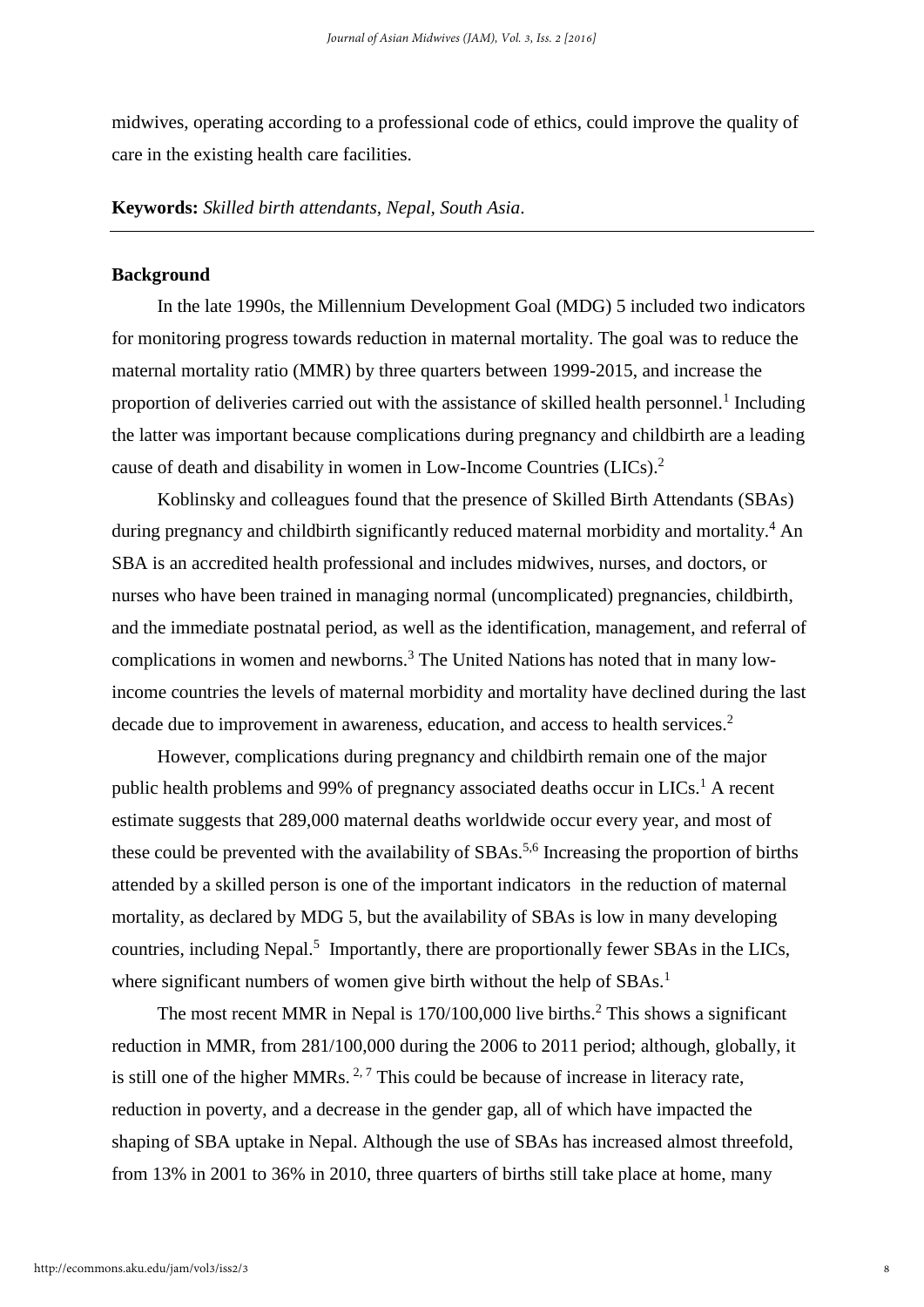midwives, operating according to a professional code of ethics, could improve the quality of care in the existing health care facilities.

**Keywords:** *Skilled birth attendants, Nepal, South Asia*.

#### **Background**

In the late 1990s, the Millennium Development Goal (MDG) 5 included two indicators for monitoring progress towards reduction in maternal mortality. The goal was to reduce the maternal mortality ratio (MMR) by three quarters between 1999-2015, and increase the proportion of deliveries carried out with the assistance of skilled health personnel.<sup>1</sup> Including the latter was important because complications during pregnancy and childbirth are a leading cause of death and disability in women in Low-Income Countries (LICs). 2

Koblinsky and colleagues found that the presence of Skilled Birth Attendants (SBAs) during pregnancy and childbirth significantly reduced maternal morbidity and mortality.<sup>4</sup> An SBA is an accredited health professional and includes midwives, nurses, and doctors, or nurses who have been trained in managing normal (uncomplicated) pregnancies, childbirth, and the immediate postnatal period, as well as the identification, management, and referral of complications in women and newborns.<sup>3</sup> The United Nations has noted that in many lowincome countries the levels of maternal morbidity and mortality have declined during the last decade due to improvement in awareness, education, and access to health services.<sup>2</sup>

However, complications during pregnancy and childbirth remain one of the major public health problems and 99% of pregnancy associated deaths occur in  $LICs<sup>1</sup>$ . A recent estimate suggests that 289,000 maternal deaths worldwide occur every year, and most of these could be prevented with the availability of SBAs.<sup>5,6</sup> Increasing the proportion of births attended by a skilled person is one of the important indicators in the reduction of maternal mortality, as declared by MDG 5, but the availability of SBAs is low in many developing countries, including Nepal.<sup>5</sup> Importantly, there are proportionally fewer SBAs in the LICs, where significant numbers of women give birth without the help of SBAs.<sup>1</sup>

The most recent MMR in Nepal is 170/100,000 live births.<sup>2</sup> This shows a significant reduction in MMR, from 281/100,000 during the 2006 to 2011 period; although, globally, it is still one of the higher MMRs.  $2.7$  This could be because of increase in literacy rate, reduction in poverty, and a decrease in the gender gap, all of which have impacted the shaping of SBA uptake in Nepal. Although the use of SBAs has increased almost threefold, from 13% in 2001 to 36% in 2010, three quarters of births still take place at home, many

8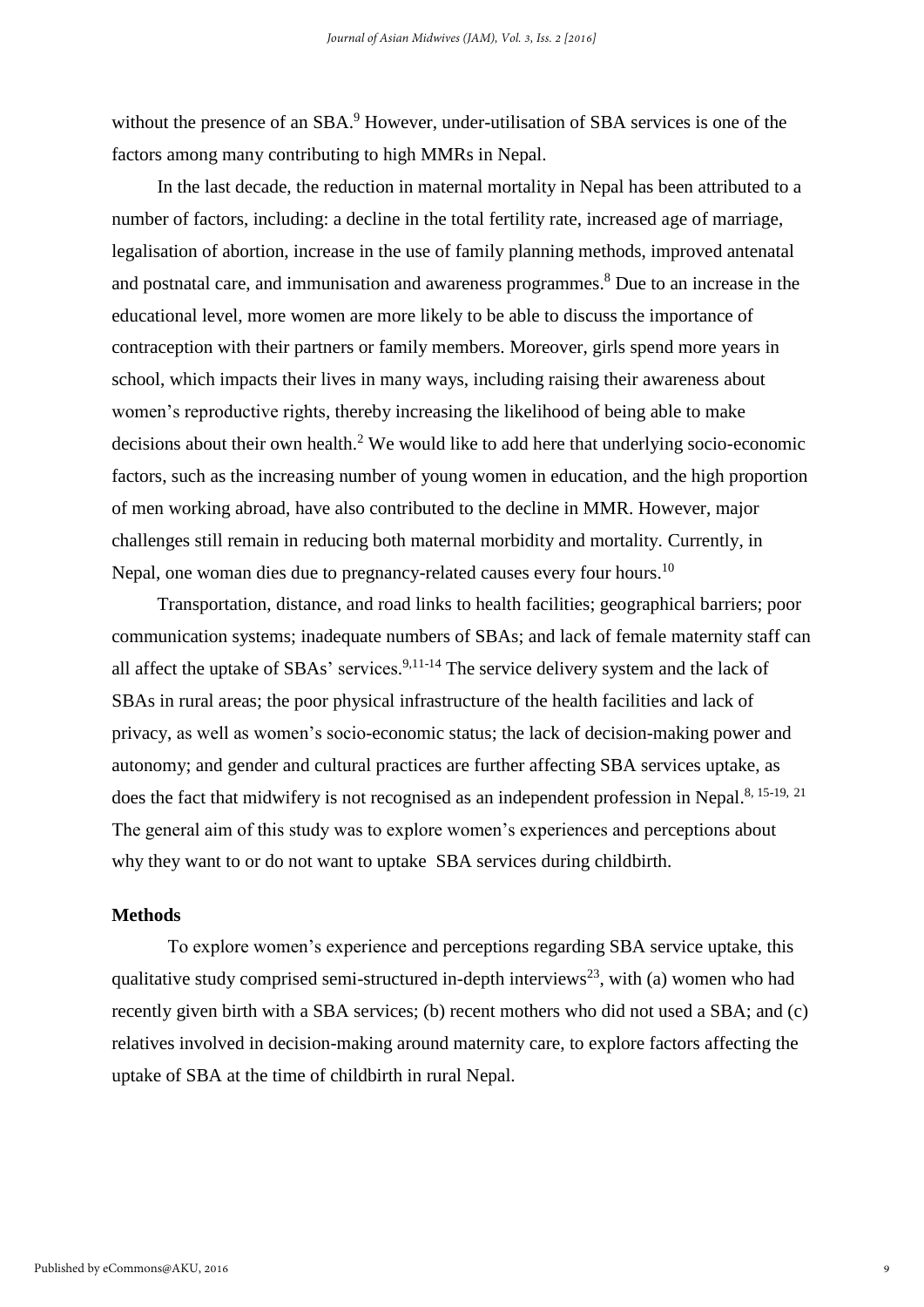without the presence of an SBA.<sup>9</sup> However, under-utilisation of SBA services is one of the factors among many contributing to high MMRs in Nepal.

In the last decade, the reduction in maternal mortality in Nepal has been attributed to a number of factors, including: a decline in the total fertility rate, increased age of marriage, legalisation of abortion, increase in the use of family planning methods, improved antenatal and postnatal care, and immunisation and awareness programmes. <sup>8</sup> Due to an increase in the educational level, more women are more likely to be able to discuss the importance of contraception with their partners or family members. Moreover, girls spend more years in school, which impacts their lives in many ways, including raising their awareness about women's reproductive rights, thereby increasing the likelihood of being able to make decisions about their own health.<sup>2</sup> We would like to add here that underlying socio-economic factors, such as the increasing number of young women in education, and the high proportion of men working abroad, have also contributed to the decline in MMR. However, major challenges still remain in reducing both maternal morbidity and mortality. Currently, in Nepal, one woman dies due to pregnancy-related causes every four hours.<sup>10</sup>

Transportation, distance, and road links to health facilities; geographical barriers; poor communication systems; inadequate numbers of SBAs; and lack of female maternity staff can all affect the uptake of  $SBAs'$  services.<sup>9,11-14</sup> The service delivery system and the lack of SBAs in rural areas; the poor physical infrastructure of the health facilities and lack of privacy, as well as women's socio-economic status; the lack of decision-making power and autonomy; and gender and cultural practices are further affecting SBA services uptake, as does the fact that midwifery is not recognised as an independent profession in Nepal.<sup>8, 15-19, 21</sup> The general aim of this study was to explore women's experiences and perceptions about why they want to or do not want to uptake SBA services during childbirth.

#### **Methods**

To explore women's experience and perceptions regarding SBA service uptake, this qualitative study comprised semi-structured in-depth interviews<sup>23</sup>, with (a) women who had recently given birth with a SBA services; (b) recent mothers who did not used a SBA; and (c) relatives involved in decision-making around maternity care, to explore factors affecting the uptake of SBA at the time of childbirth in rural Nepal.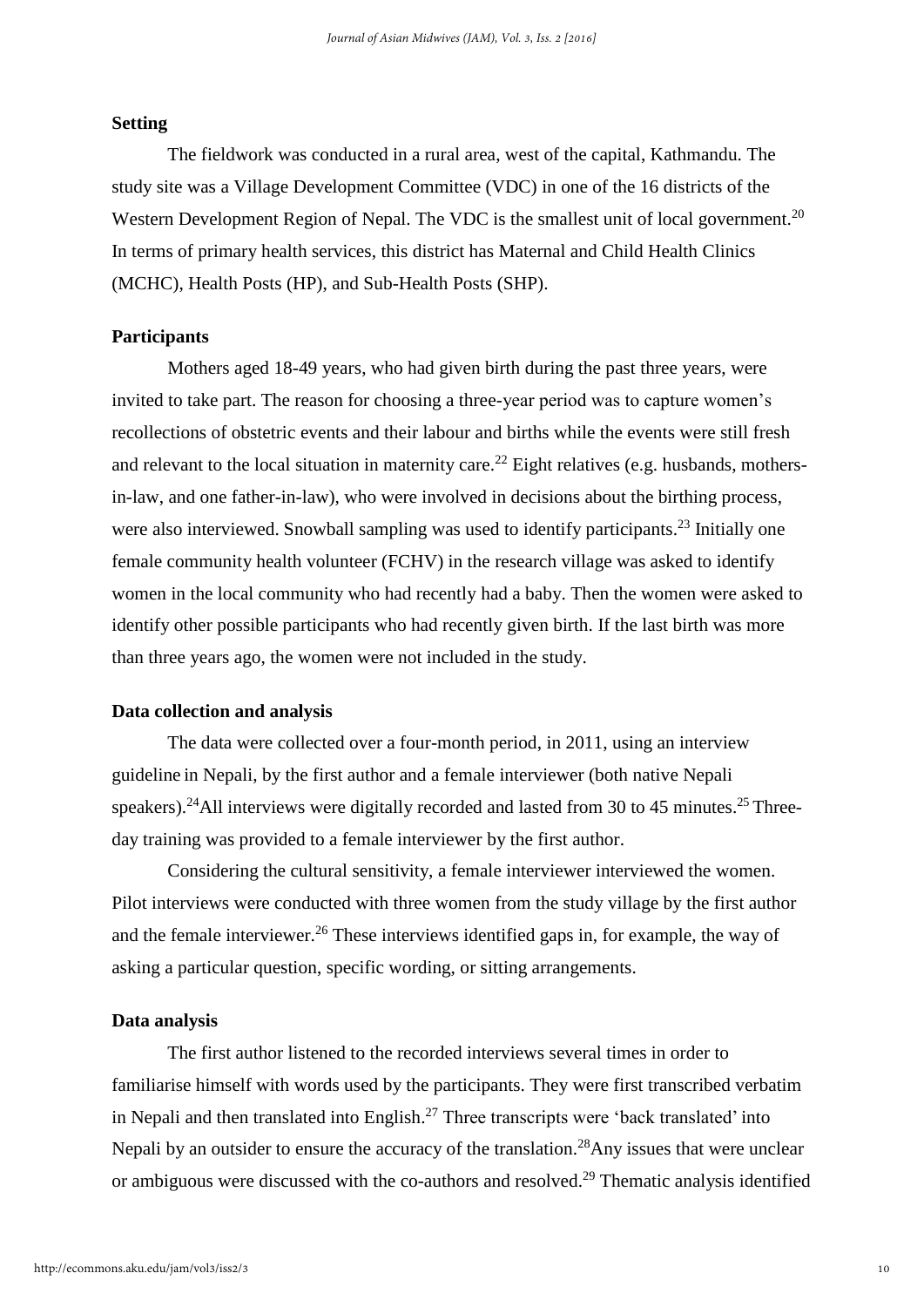#### **Setting**

The fieldwork was conducted in a rural area, west of the capital, Kathmandu. The study site was a Village Development Committee (VDC) in one of the 16 districts of the Western Development Region of Nepal. The VDC is the smallest unit of local government.<sup>20</sup> In terms of primary health services, this district has Maternal and Child Health Clinics (MCHC), Health Posts (HP), and Sub-Health Posts (SHP).

## **Participants**

Mothers aged 18-49 years, who had given birth during the past three years, were invited to take part. The reason for choosing a three-year period was to capture women's recollections of obstetric events and their labour and births while the events were still fresh and relevant to the local situation in maternity care.<sup>22</sup> Eight relatives (e.g. husbands, mothersin-law, and one father-in-law), who were involved in decisions about the birthing process, were also interviewed. Snowball sampling was used to identify participants.<sup>23</sup> Initially one female community health volunteer (FCHV) in the research village was asked to identify women in the local community who had recently had a baby. Then the women were asked to identify other possible participants who had recently given birth. If the last birth was more than three years ago, the women were not included in the study.

#### **Data collection and analysis**

The data were collected over a four-month period, in 2011, using an interview guideline in Nepali, by the first author and a female interviewer (both native Nepali speakers).<sup>24</sup>All interviews were digitally recorded and lasted from 30 to 45 minutes.<sup>25</sup> Threeday training was provided to a female interviewer by the first author.

Considering the cultural sensitivity, a female interviewer interviewed the women. Pilot interviews were conducted with three women from the study village by the first author and the female interviewer. <sup>26</sup> These interviews identified gaps in, for example, the way of asking a particular question, specific wording, or sitting arrangements.

#### **Data analysis**

The first author listened to the recorded interviews several times in order to familiarise himself with words used by the participants. They were first transcribed verbatim in Nepali and then translated into English.<sup>27</sup> Three transcripts were 'back translated' into Nepali by an outsider to ensure the accuracy of the translation.<sup>28</sup>Any issues that were unclear or ambiguous were discussed with the co-authors and resolved.<sup>29</sup> Thematic analysis identified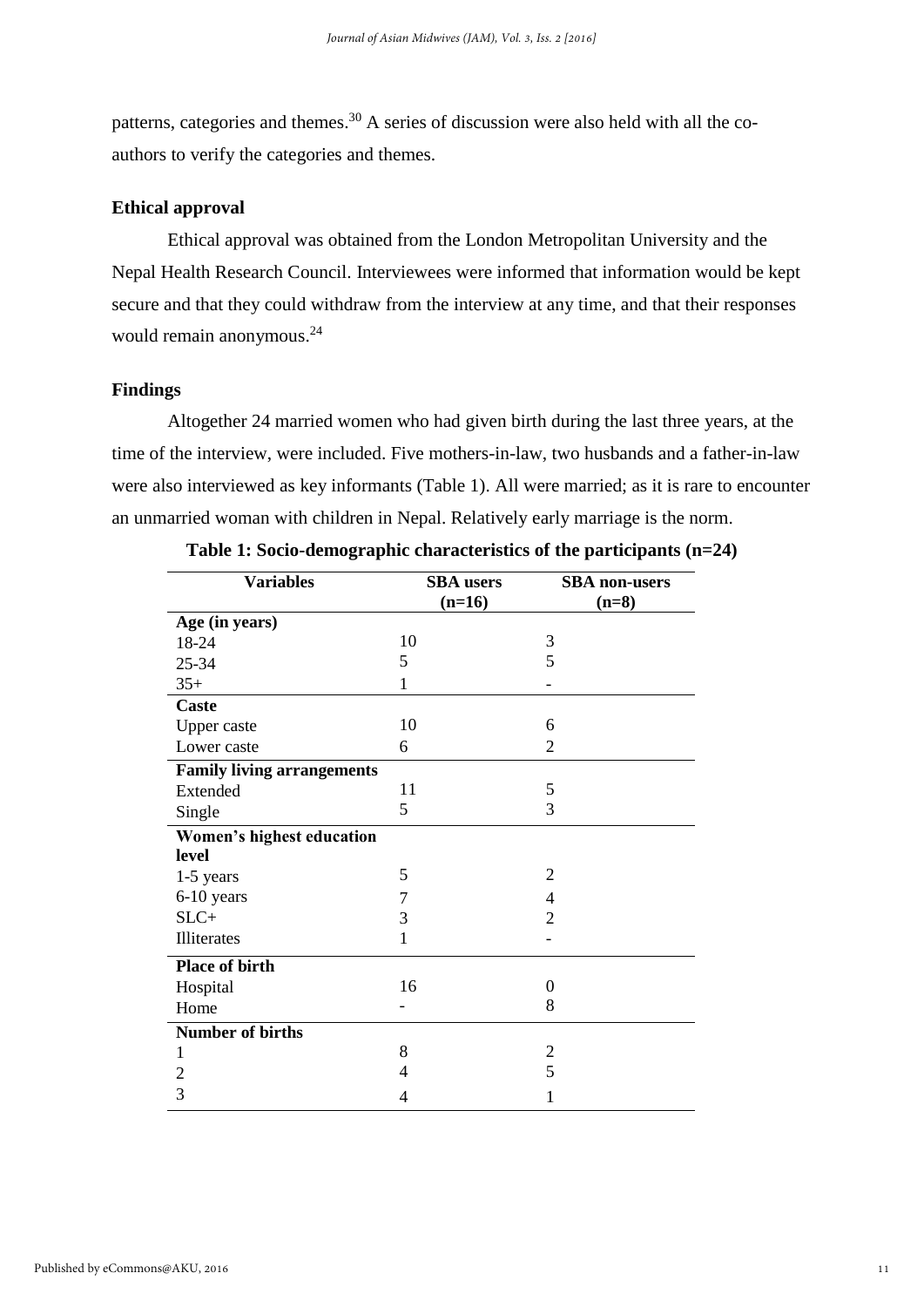patterns, categories and themes.<sup>30</sup> A series of discussion were also held with all the coauthors to verify the categories and themes.

#### **Ethical approval**

Ethical approval was obtained from the London Metropolitan University and the Nepal Health Research Council. Interviewees were informed that information would be kept secure and that they could withdraw from the interview at any time, and that their responses would remain anonymous. 24

# **Findings**

Altogether 24 married women who had given birth during the last three years, at the time of the interview, were included. Five mothers-in-law, two husbands and a father-in-law were also interviewed as key informants (Table 1). All were married; as it is rare to encounter an unmarried woman with children in Nepal. Relatively early marriage is the norm.

| <b>Variables</b>                  | <b>SBA</b> users | <b>SBA</b> non-users |  |
|-----------------------------------|------------------|----------------------|--|
|                                   | $(n=16)$         | $(n=8)$              |  |
| Age (in years)                    |                  |                      |  |
| 18-24                             | 10               | 3                    |  |
| 25-34                             | 5                | 5                    |  |
| $35+$                             | 1                |                      |  |
| <b>Caste</b>                      |                  |                      |  |
| Upper caste                       | 10               | 6                    |  |
| Lower caste                       | 6                | $\overline{2}$       |  |
| <b>Family living arrangements</b> |                  |                      |  |
| Extended                          | 11               | $\mathfrak{S}$       |  |
| Single                            | 5                | 3                    |  |
| Women's highest education         |                  |                      |  |
| level                             |                  |                      |  |
| 1-5 years                         | 5                | $\overline{2}$       |  |
| 6-10 years                        | 7                | 4                    |  |
| $SLC+$                            | 3                | $\overline{2}$       |  |
| Illiterates                       | 1                |                      |  |
| <b>Place of birth</b>             |                  |                      |  |
| Hospital                          | 16               | $\theta$             |  |
| Home                              |                  | 8                    |  |
| <b>Number of births</b>           |                  |                      |  |
| 1                                 | 8                | $\overline{c}$       |  |
| $\overline{c}$                    | 4                | 5                    |  |
| 3                                 | 4                | 1                    |  |

**Table 1: Socio-demographic characteristics of the participants (n=24)**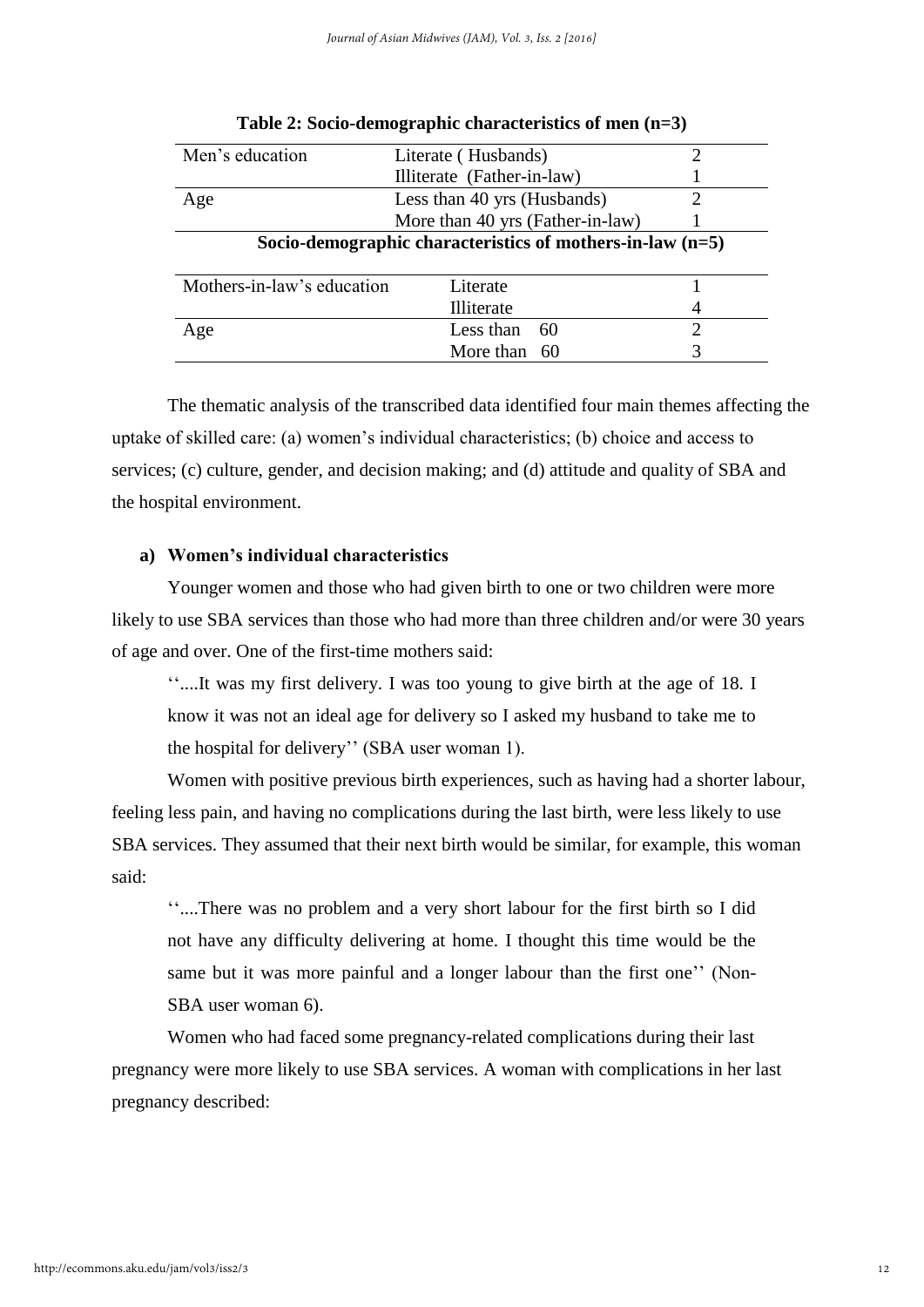| Men's education                                             | Literate (Husbands)              |  |  |  |  |  |  |  |  |
|-------------------------------------------------------------|----------------------------------|--|--|--|--|--|--|--|--|
|                                                             | Illiterate (Father-in-law)       |  |  |  |  |  |  |  |  |
| Age                                                         | Less than 40 yrs (Husbands)      |  |  |  |  |  |  |  |  |
|                                                             | More than 40 yrs (Father-in-law) |  |  |  |  |  |  |  |  |
| Socio-demographic characteristics of mothers-in-law $(n=5)$ |                                  |  |  |  |  |  |  |  |  |
| Mothers-in-law's education                                  | Literate                         |  |  |  |  |  |  |  |  |
|                                                             | Illiterate                       |  |  |  |  |  |  |  |  |
| Age                                                         | Less than<br>60                  |  |  |  |  |  |  |  |  |
|                                                             | More than 60                     |  |  |  |  |  |  |  |  |

|  |  |  |  |  |  | Table 2: Socio-demographic characteristics of men (n=3) |  |  |  |
|--|--|--|--|--|--|---------------------------------------------------------|--|--|--|
|--|--|--|--|--|--|---------------------------------------------------------|--|--|--|

The thematic analysis of the transcribed data identified four main themes affecting the uptake of skilled care: (a) women's individual characteristics; (b) choice and access to services; (c) culture, gender, and decision making; and (d) attitude and quality of SBA and the hospital environment.

# **a) Women's individual characteristics**

Younger women and those who had given birth to one or two children were more likely to use SBA services than those who had more than three children and/or were 30 years of age and over. One of the first-time mothers said:

''....It was my first delivery. I was too young to give birth at the age of 18. I know it was not an ideal age for delivery so I asked my husband to take me to the hospital for delivery'' (SBA user woman 1).

Women with positive previous birth experiences, such as having had a shorter labour, feeling less pain, and having no complications during the last birth, were less likely to use SBA services. They assumed that their next birth would be similar, for example, this woman said:

''....There was no problem and a very short labour for the first birth so I did not have any difficulty delivering at home. I thought this time would be the same but it was more painful and a longer labour than the first one'' (Non-SBA user woman 6).

Women who had faced some pregnancy-related complications during their last pregnancy were more likely to use SBA services. A woman with complications in her last pregnancy described: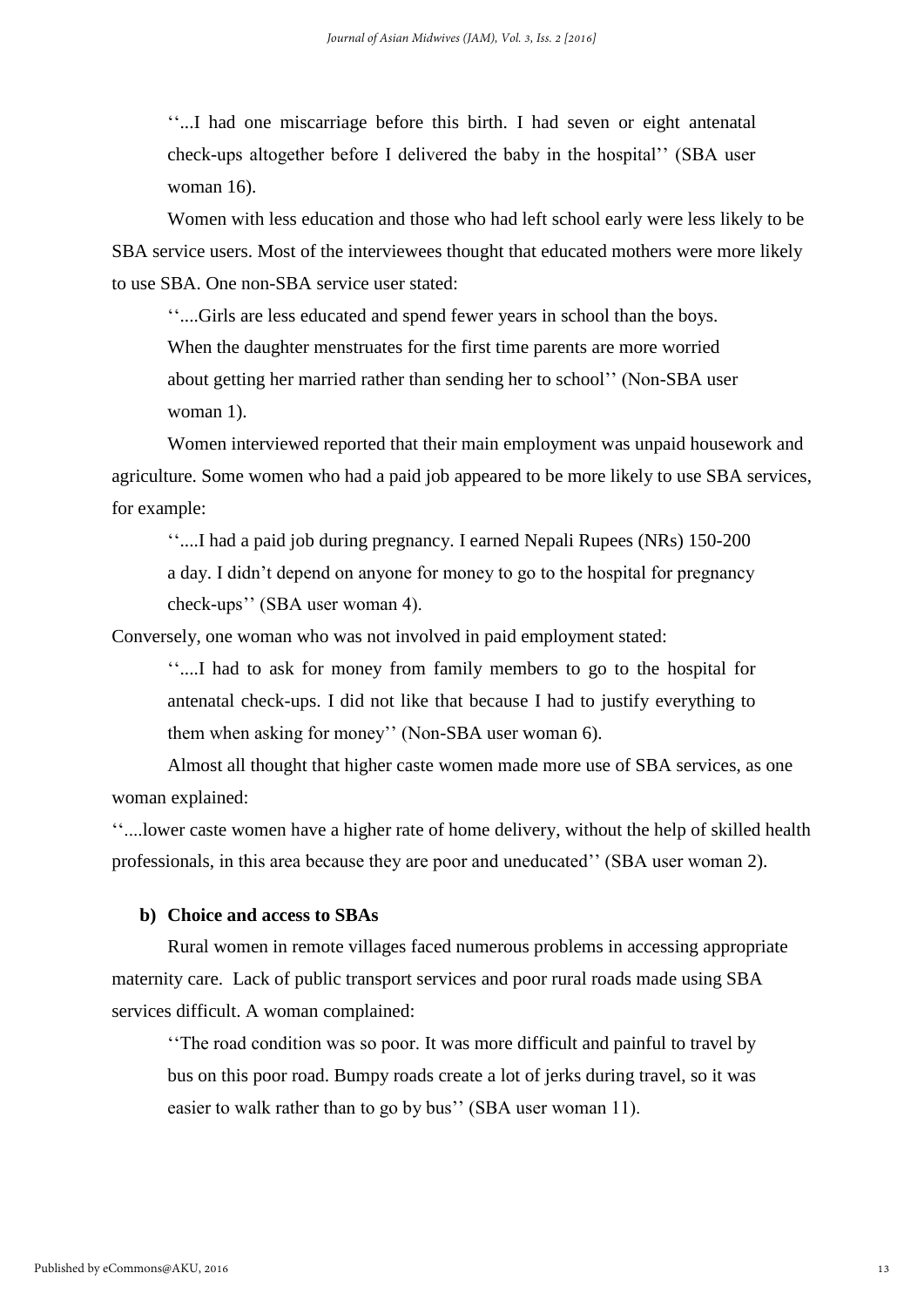''...I had one miscarriage before this birth. I had seven or eight antenatal check-ups altogether before I delivered the baby in the hospital'' (SBA user woman 16).

Women with less education and those who had left school early were less likely to be SBA service users. Most of the interviewees thought that educated mothers were more likely to use SBA. One non-SBA service user stated:

''....Girls are less educated and spend fewer years in school than the boys.

When the daughter menstruates for the first time parents are more worried about getting her married rather than sending her to school'' (Non-SBA user woman 1).

Women interviewed reported that their main employment was unpaid housework and agriculture. Some women who had a paid job appeared to be more likely to use SBA services, for example:

''....I had a paid job during pregnancy. I earned Nepali Rupees (NRs) 150-200 a day. I didn't depend on anyone for money to go to the hospital for pregnancy check-ups'' (SBA user woman 4).

Conversely, one woman who was not involved in paid employment stated:

''....I had to ask for money from family members to go to the hospital for antenatal check-ups. I did not like that because I had to justify everything to them when asking for money'' (Non-SBA user woman 6).

Almost all thought that higher caste women made more use of SBA services, as one woman explained:

''....lower caste women have a higher rate of home delivery, without the help of skilled health professionals, in this area because they are poor and uneducated'' (SBA user woman 2).

#### **b) Choice and access to SBAs**

Rural women in remote villages faced numerous problems in accessing appropriate maternity care. Lack of public transport services and poor rural roads made using SBA services difficult. A woman complained:

''The road condition was so poor. It was more difficult and painful to travel by bus on this poor road. Bumpy roads create a lot of jerks during travel, so it was easier to walk rather than to go by bus'' (SBA user woman 11).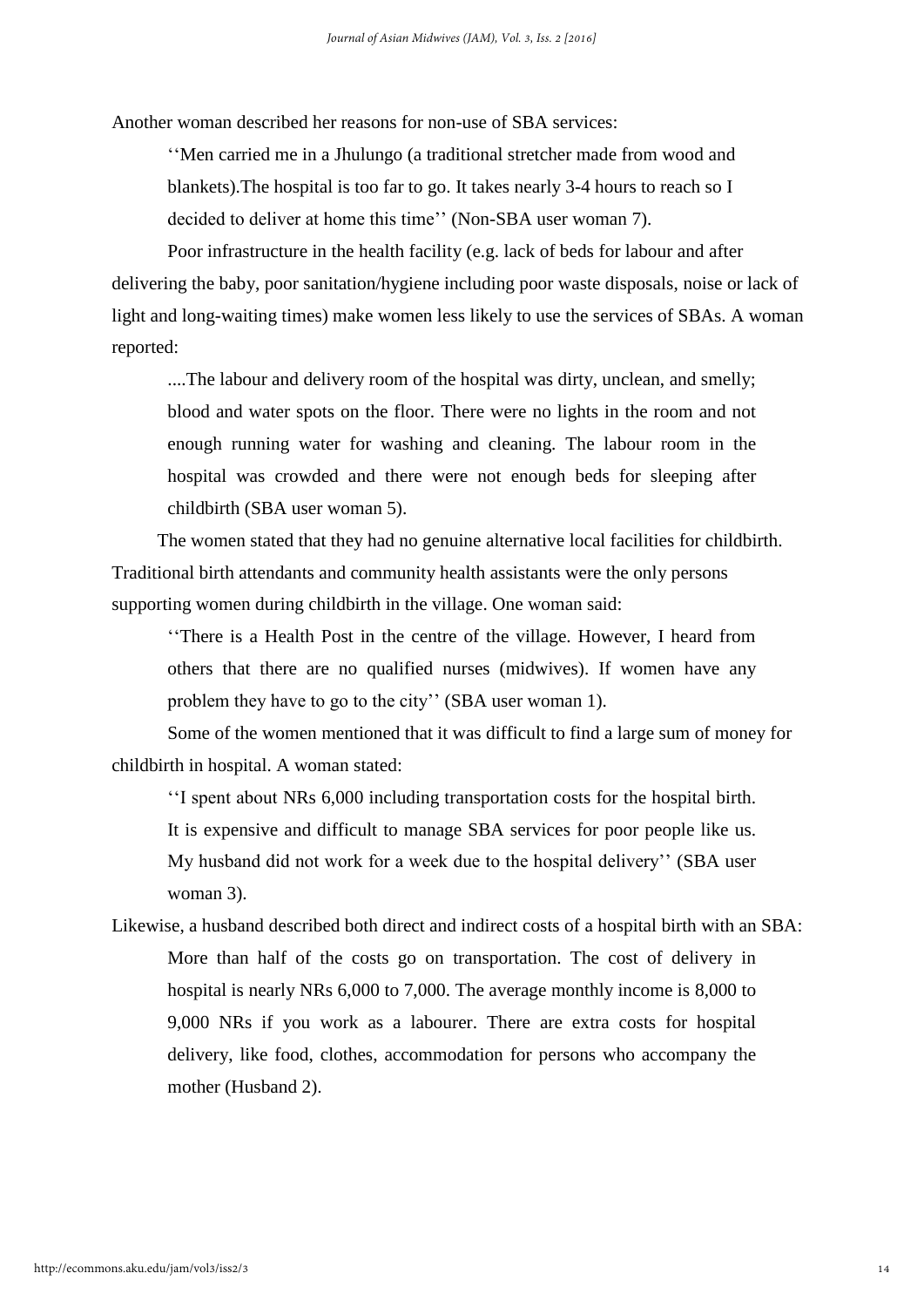Another woman described her reasons for non-use of SBA services:

''Men carried me in a Jhulungo (a traditional stretcher made from wood and blankets).The hospital is too far to go. It takes nearly 3-4 hours to reach so I decided to deliver at home this time'' (Non-SBA user woman 7).

Poor infrastructure in the health facility (e.g. lack of beds for labour and after delivering the baby, poor sanitation/hygiene including poor waste disposals, noise or lack of light and long-waiting times) make women less likely to use the services of SBAs. A woman reported:

....The labour and delivery room of the hospital was dirty, unclean, and smelly; blood and water spots on the floor. There were no lights in the room and not enough running water for washing and cleaning. The labour room in the hospital was crowded and there were not enough beds for sleeping after childbirth (SBA user woman 5).

The women stated that they had no genuine alternative local facilities for childbirth. Traditional birth attendants and community health assistants were the only persons supporting women during childbirth in the village. One woman said:

''There is a Health Post in the centre of the village. However, I heard from others that there are no qualified nurses (midwives). If women have any problem they have to go to the city'' (SBA user woman 1).

Some of the women mentioned that it was difficult to find a large sum of money for childbirth in hospital. A woman stated:

''I spent about NRs 6,000 including transportation costs for the hospital birth. It is expensive and difficult to manage SBA services for poor people like us. My husband did not work for a week due to the hospital delivery'' (SBA user woman 3).

Likewise, a husband described both direct and indirect costs of a hospital birth with an SBA: More than half of the costs go on transportation. The cost of delivery in hospital is nearly NRs 6,000 to 7,000. The average monthly income is 8,000 to 9,000 NRs if you work as a labourer. There are extra costs for hospital delivery, like food, clothes, accommodation for persons who accompany the mother (Husband 2).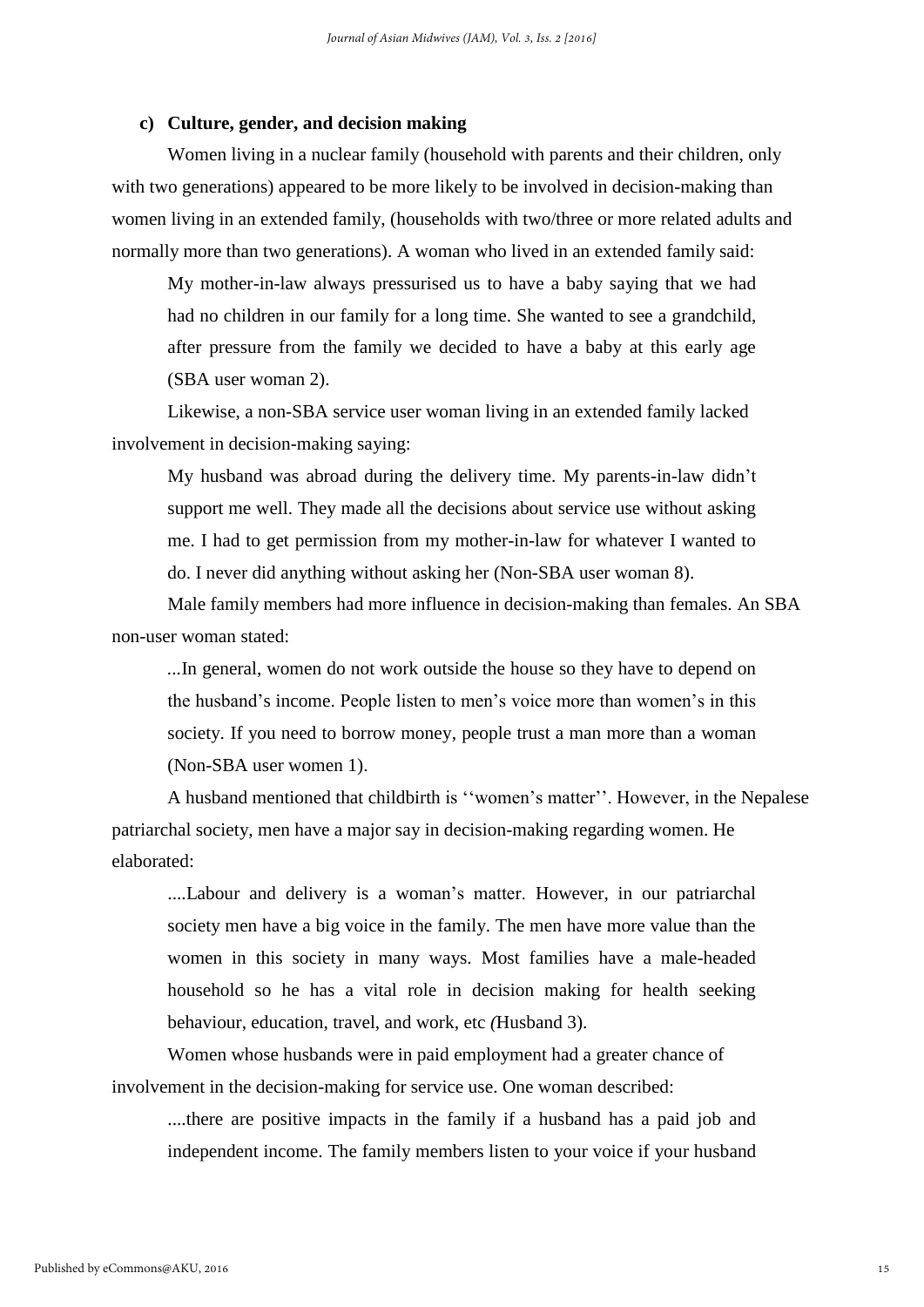#### **c) Culture, gender, and decision making**

Women living in a nuclear family (household with parents and their children, only with two generations) appeared to be more likely to be involved in decision-making than women living in an extended family, (households with two/three or more related adults and normally more than two generations). A woman who lived in an extended family said:

My mother-in-law always pressurised us to have a baby saying that we had had no children in our family for a long time. She wanted to see a grandchild, after pressure from the family we decided to have a baby at this early age (SBA user woman 2).

Likewise, a non-SBA service user woman living in an extended family lacked involvement in decision-making saying:

My husband was abroad during the delivery time. My parents-in-law didn't support me well. They made all the decisions about service use without asking me. I had to get permission from my mother-in-law for whatever I wanted to do. I never did anything without asking her (Non-SBA user woman 8).

Male family members had more influence in decision-making than females. An SBA non-user woman stated:

*...*In general, women do not work outside the house so they have to depend on the husband's income. People listen to men's voice more than women's in this society. If you need to borrow money, people trust a man more than a woman (Non-SBA user women 1).

A husband mentioned that childbirth is ''women's matter''. However, in the Nepalese patriarchal society, men have a major say in decision-making regarding women. He elaborated:

....Labour and delivery is a woman's matter. However, in our patriarchal society men have a big voice in the family. The men have more value than the women in this society in many ways. Most families have a male-headed household so he has a vital role in decision making for health seeking behaviour, education, travel, and work, etc *(*Husband 3).

Women whose husbands were in paid employment had a greater chance of involvement in the decision-making for service use. One woman described:

....there are positive impacts in the family if a husband has a paid job and independent income. The family members listen to your voice if your husband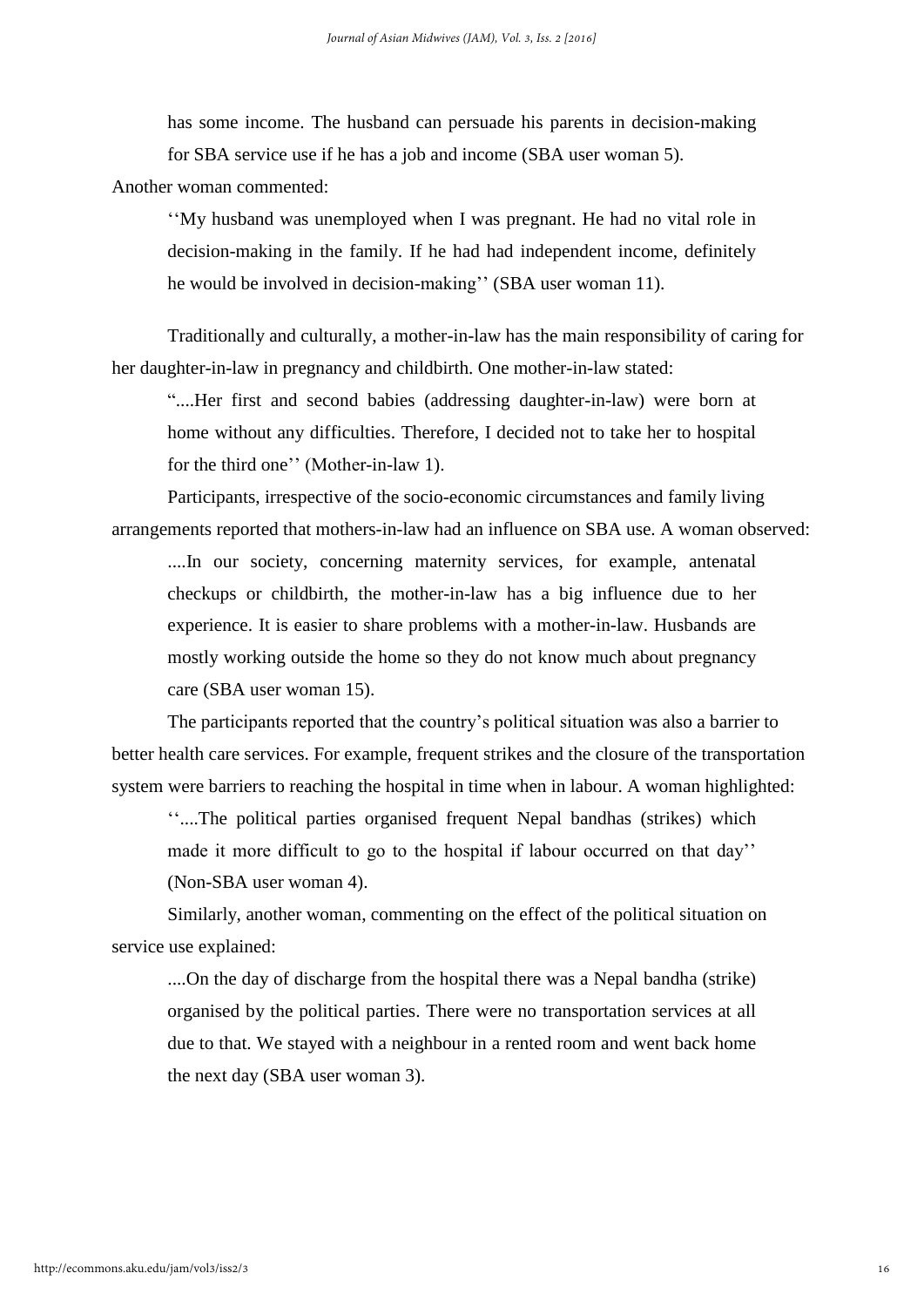has some income. The husband can persuade his parents in decision-making for SBA service use if he has a job and income (SBA user woman 5).

Another woman commented:

''My husband was unemployed when I was pregnant. He had no vital role in decision-making in the family. If he had had independent income, definitely he would be involved in decision-making'' (SBA user woman 11).

Traditionally and culturally, a mother-in-law has the main responsibility of caring for her daughter-in-law in pregnancy and childbirth. One mother-in-law stated:

"....Her first and second babies (addressing daughter-in-law) were born at home without any difficulties. Therefore, I decided not to take her to hospital for the third one'' (Mother-in-law 1).

Participants, irrespective of the socio-economic circumstances and family living arrangements reported that mothers-in-law had an influence on SBA use. A woman observed:

....In our society, concerning maternity services, for example, antenatal checkups or childbirth, the mother-in-law has a big influence due to her experience. It is easier to share problems with a mother-in-law. Husbands are mostly working outside the home so they do not know much about pregnancy care (SBA user woman 15).

The participants reported that the country's political situation was also a barrier to better health care services. For example, frequent strikes and the closure of the transportation system were barriers to reaching the hospital in time when in labour. A woman highlighted:

''....The political parties organised frequent Nepal bandhas (strikes) which made it more difficult to go to the hospital if labour occurred on that day'' (Non-SBA user woman 4).

Similarly, another woman, commenting on the effect of the political situation on service use explained:

....On the day of discharge from the hospital there was a Nepal bandha (strike) organised by the political parties. There were no transportation services at all due to that. We stayed with a neighbour in a rented room and went back home the next day (SBA user woman 3).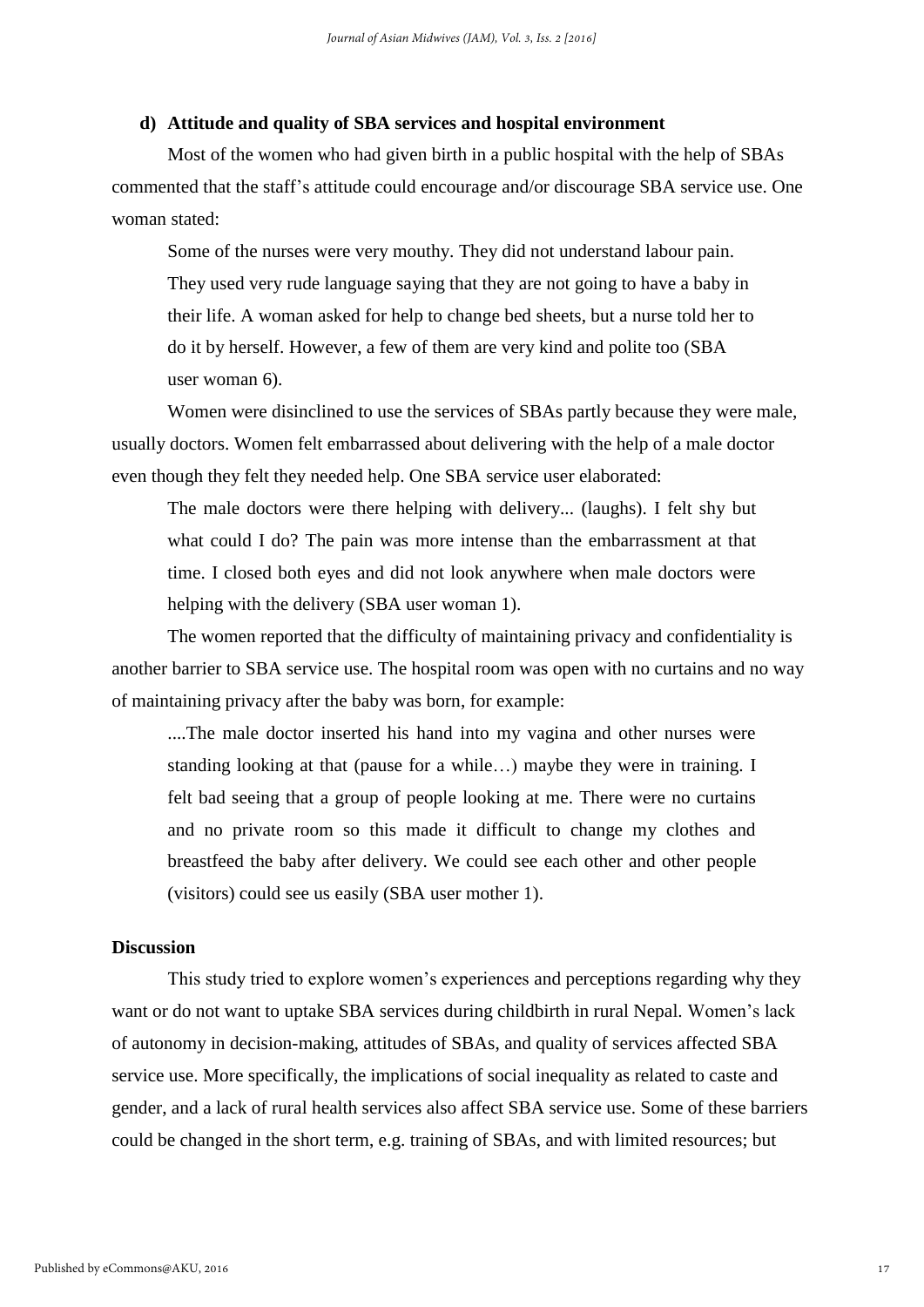#### **d) Attitude and quality of SBA services and hospital environment**

Most of the women who had given birth in a public hospital with the help of SBAs commented that the staff's attitude could encourage and/or discourage SBA service use. One woman stated:

Some of the nurses were very mouthy. They did not understand labour pain. They used very rude language saying that they are not going to have a baby in their life. A woman asked for help to change bed sheets, but a nurse told her to do it by herself. However, a few of them are very kind and polite too (SBA user woman 6).

Women were disinclined to use the services of SBAs partly because they were male, usually doctors. Women felt embarrassed about delivering with the help of a male doctor even though they felt they needed help. One SBA service user elaborated:

The male doctors were there helping with delivery... (laughs). I felt shy but what could I do? The pain was more intense than the embarrassment at that time. I closed both eyes and did not look anywhere when male doctors were helping with the delivery (SBA user woman 1).

The women reported that the difficulty of maintaining privacy and confidentiality is another barrier to SBA service use. The hospital room was open with no curtains and no way of maintaining privacy after the baby was born, for example:

....The male doctor inserted his hand into my vagina and other nurses were standing looking at that (pause for a while…) maybe they were in training. I felt bad seeing that a group of people looking at me. There were no curtains and no private room so this made it difficult to change my clothes and breastfeed the baby after delivery. We could see each other and other people (visitors) could see us easily (SBA user mother 1).

## **Discussion**

This study tried to explore women's experiences and perceptions regarding why they want or do not want to uptake SBA services during childbirth in rural Nepal. Women's lack of autonomy in decision-making, attitudes of SBAs, and quality of services affected SBA service use. More specifically, the implications of social inequality as related to caste and gender, and a lack of rural health services also affect SBA service use. Some of these barriers could be changed in the short term, e.g. training of SBAs, and with limited resources; but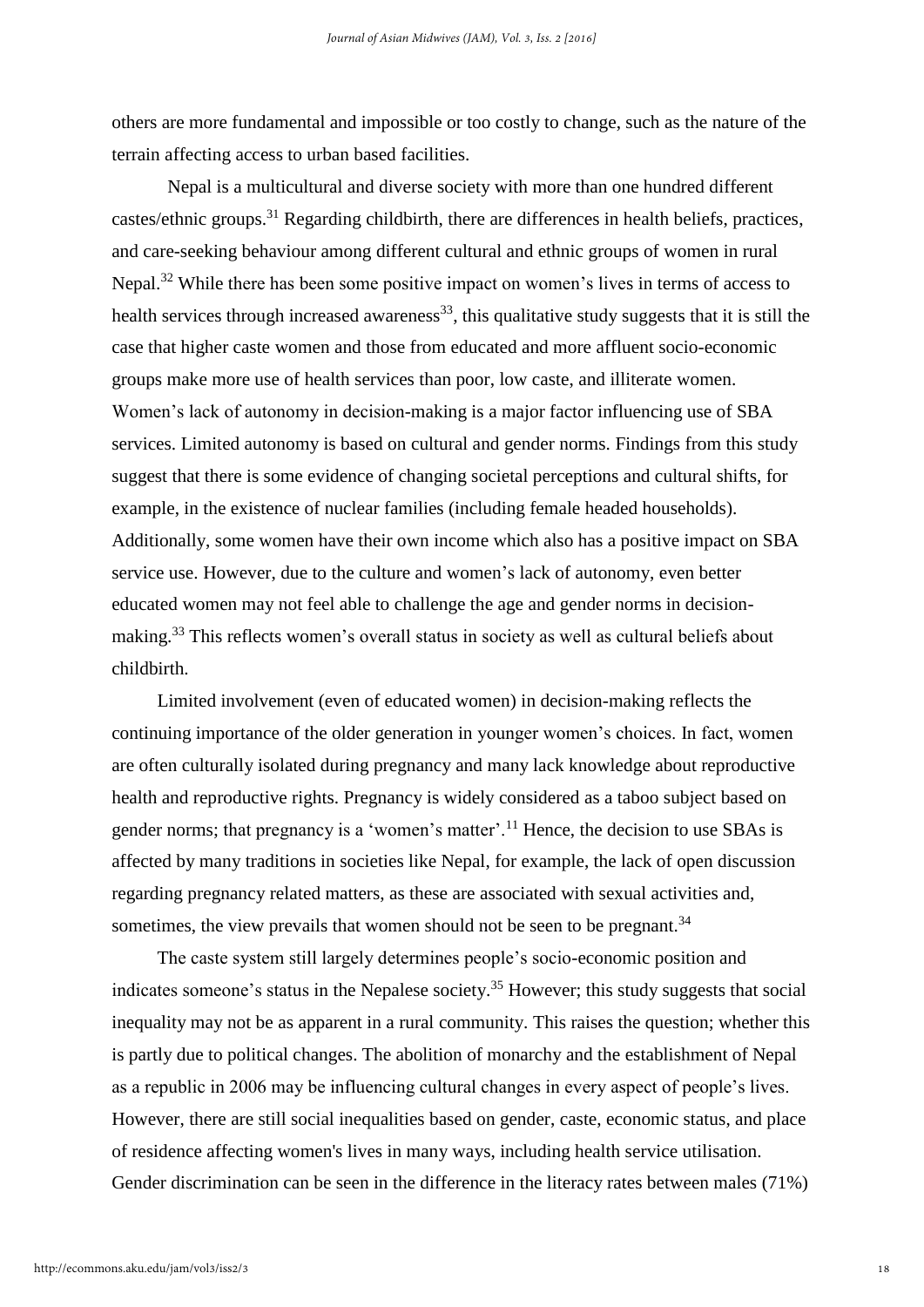others are more fundamental and impossible or too costly to change, such as the nature of the terrain affecting access to urban based facilities.

Nepal is a multicultural and diverse society with more than one hundred different castes/ethnic groups.<sup>31</sup> Regarding childbirth, there are differences in health beliefs, practices, and care-seeking behaviour among different cultural and ethnic groups of women in rural Nepal.<sup>32</sup> While there has been some positive impact on women's lives in terms of access to health services through increased awareness<sup>33</sup>, this qualitative study suggests that it is still the case that higher caste women and those from educated and more affluent socio-economic groups make more use of health services than poor, low caste, and illiterate women. Women's lack of autonomy in decision-making is a major factor influencing use of SBA services. Limited autonomy is based on cultural and gender norms. Findings from this study suggest that there is some evidence of changing societal perceptions and cultural shifts, for example, in the existence of nuclear families (including female headed households). Additionally, some women have their own income which also has a positive impact on SBA service use. However, due to the culture and women's lack of autonomy, even better educated women may not feel able to challenge the age and gender norms in decisionmaking.<sup>33</sup> This reflects women's overall status in society as well as cultural beliefs about childbirth.

Limited involvement (even of educated women) in decision-making reflects the continuing importance of the older generation in younger women's choices. In fact, women are often culturally isolated during pregnancy and many lack knowledge about reproductive health and reproductive rights. Pregnancy is widely considered as a taboo subject based on gender norms; that pregnancy is a 'women's matter'.<sup>11</sup> Hence, the decision to use SBAs is affected by many traditions in societies like Nepal, for example, the lack of open discussion regarding pregnancy related matters, as these are associated with sexual activities and, sometimes, the view prevails that women should not be seen to be pregnant.<sup>34</sup>

The caste system still largely determines people's socio-economic position and indicates someone's status in the Nepalese society. <sup>35</sup> However; this study suggests that social inequality may not be as apparent in a rural community. This raises the question; whether this is partly due to political changes. The abolition of monarchy and the establishment of Nepal as a republic in 2006 may be influencing cultural changes in every aspect of people's lives. However, there are still social inequalities based on gender, caste, economic status, and place of residence affecting women's lives in many ways, including health service utilisation. Gender discrimination can be seen in the difference in the literacy rates between males (71%)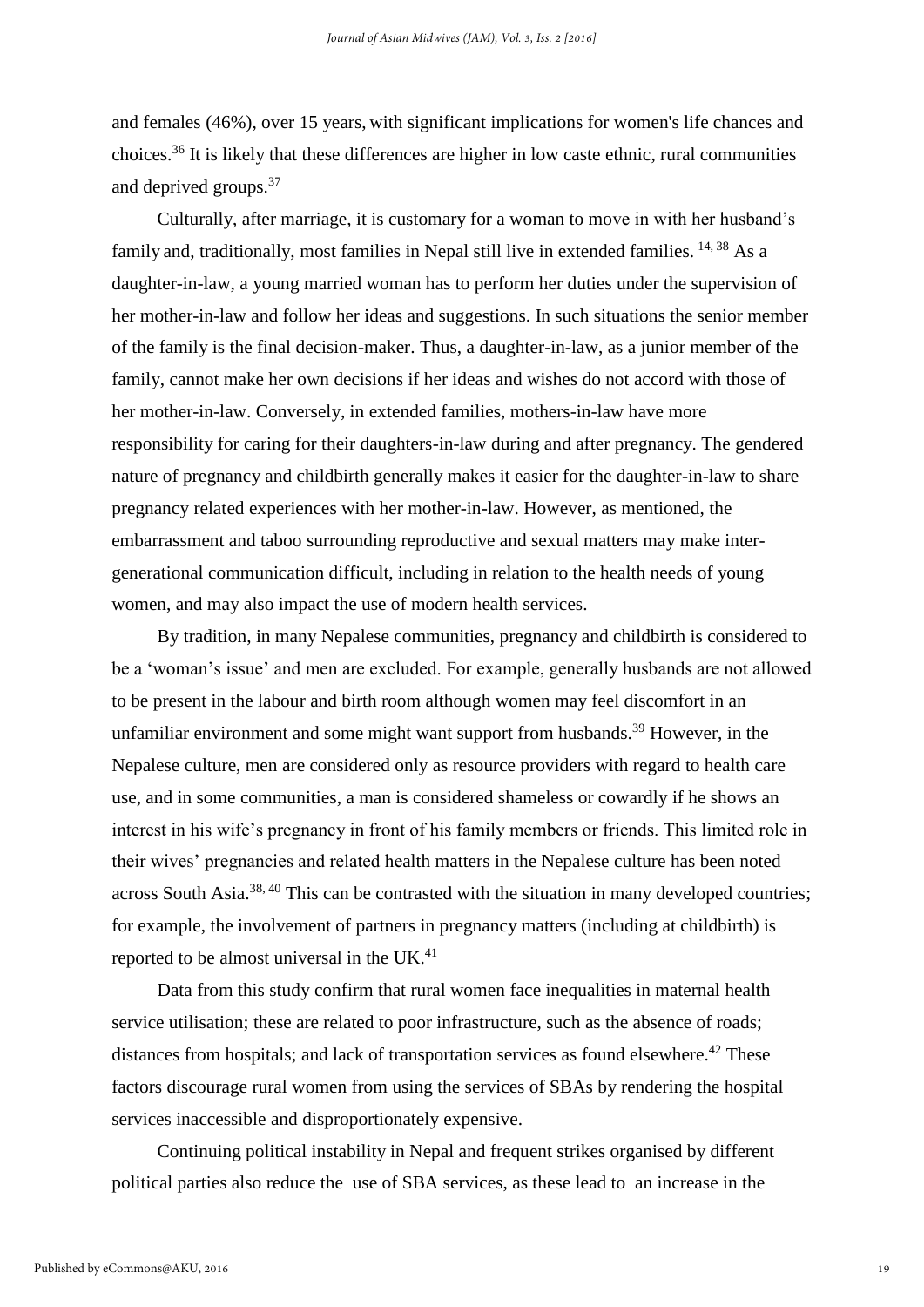and females (46%), over 15 years, with significant implications for women's life chances and choices.<sup>36</sup> It is likely that these differences are higher in low caste ethnic, rural communities and deprived groups.<sup>37</sup>

Culturally, after marriage, it is customary for a woman to move in with her husband's family and, traditionally, most families in Nepal still live in extended families.  $^{14, 38}$  As a daughter-in-law, a young married woman has to perform her duties under the supervision of her mother-in-law and follow her ideas and suggestions. In such situations the senior member of the family is the final decision-maker. Thus, a daughter-in-law, as a junior member of the family, cannot make her own decisions if her ideas and wishes do not accord with those of her mother-in-law. Conversely, in extended families, mothers-in-law have more responsibility for caring for their daughters-in-law during and after pregnancy. The gendered nature of pregnancy and childbirth generally makes it easier for the daughter-in-law to share pregnancy related experiences with her mother-in-law. However, as mentioned, the embarrassment and taboo surrounding reproductive and sexual matters may make intergenerational communication difficult, including in relation to the health needs of young women, and may also impact the use of modern health services.

By tradition, in many Nepalese communities, pregnancy and childbirth is considered to be a 'woman's issue' and men are excluded. For example, generally husbands are not allowed to be present in the labour and birth room although women may feel discomfort in an unfamiliar environment and some might want support from husbands.<sup>39</sup> However, in the Nepalese culture, men are considered only as resource providers with regard to health care use, and in some communities, a man is considered shameless or cowardly if he shows an interest in his wife's pregnancy in front of his family members or friends. This limited role in their wives' pregnancies and related health matters in the Nepalese culture has been noted across South Asia.<sup>38, 40</sup> This can be contrasted with the situation in many developed countries; for example, the involvement of partners in pregnancy matters (including at childbirth) is reported to be almost universal in the UK.<sup>41</sup>

Data from this study confirm that rural women face inequalities in maternal health service utilisation; these are related to poor infrastructure, such as the absence of roads; distances from hospitals; and lack of transportation services as found elsewhere.<sup>42</sup> These factors discourage rural women from using the services of SBAs by rendering the hospital services inaccessible and disproportionately expensive.

Continuing political instability in Nepal and frequent strikes organised by different political parties also reduce the use of SBA services, as these lead to an increase in the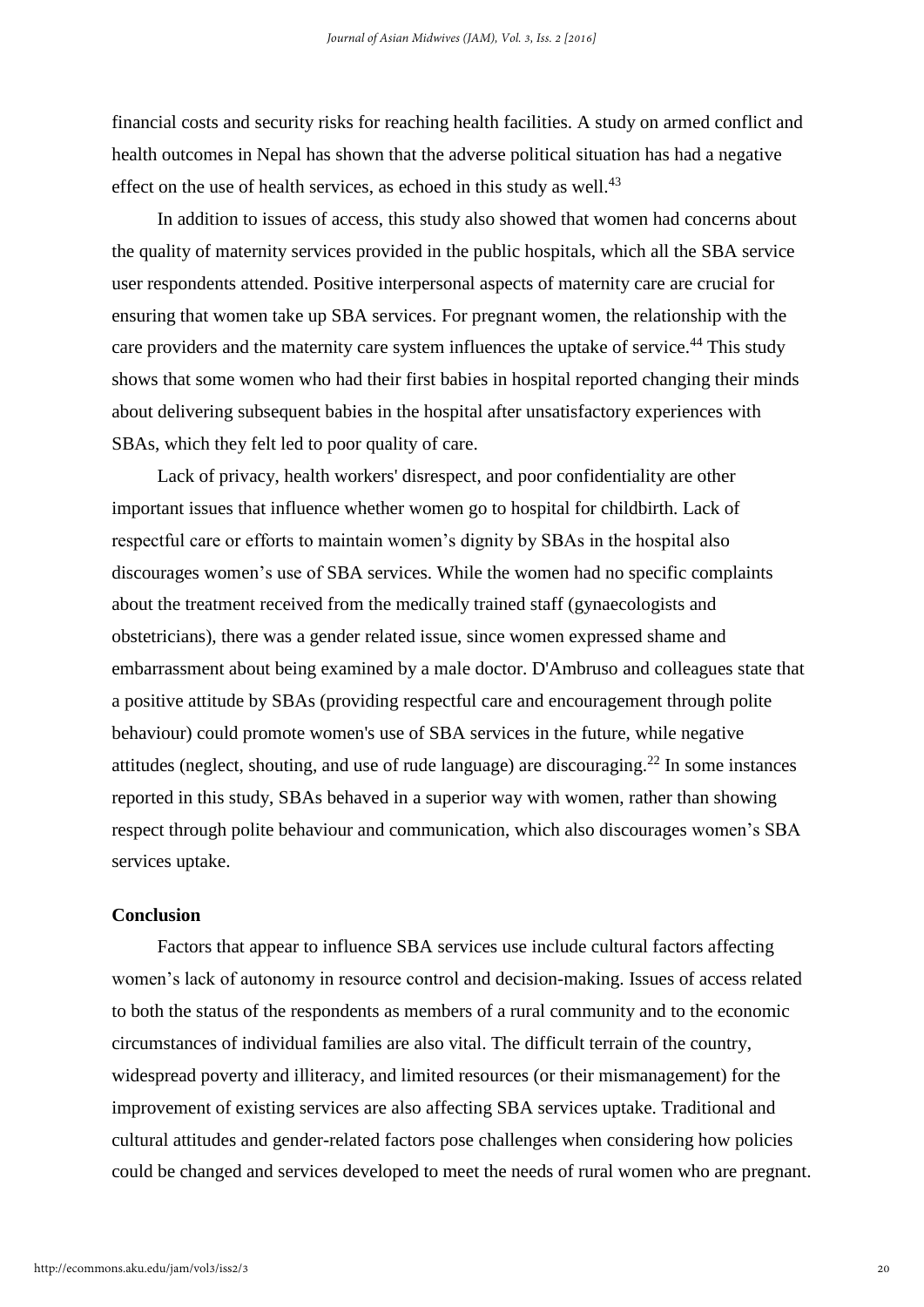financial costs and security risks for reaching health facilities. A study on armed conflict and health outcomes in Nepal has shown that the adverse political situation has had a negative effect on the use of health services, as echoed in this study as well.<sup>43</sup>

In addition to issues of access, this study also showed that women had concerns about the quality of maternity services provided in the public hospitals, which all the SBA service user respondents attended. Positive interpersonal aspects of maternity care are crucial for ensuring that women take up SBA services. For pregnant women, the relationship with the care providers and the maternity care system influences the uptake of service.<sup>44</sup> This study shows that some women who had their first babies in hospital reported changing their minds about delivering subsequent babies in the hospital after unsatisfactory experiences with SBAs, which they felt led to poor quality of care.

Lack of privacy, health workers' disrespect, and poor confidentiality are other important issues that influence whether women go to hospital for childbirth. Lack of respectful care or efforts to maintain women's dignity by SBAs in the hospital also discourages women's use of SBA services. While the women had no specific complaints about the treatment received from the medically trained staff (gynaecologists and obstetricians), there was a gender related issue, since women expressed shame and embarrassment about being examined by a male doctor. D'Ambruso and colleagues state that a positive attitude by SBAs (providing respectful care and encouragement through polite behaviour) could promote women's use of SBA services in the future, while negative attitudes (neglect, shouting, and use of rude language) are discouraging. <sup>22</sup> In some instances reported in this study, SBAs behaved in a superior way with women, rather than showing respect through polite behaviour and communication, which also discourages women's SBA services uptake.

## **Conclusion**

Factors that appear to influence SBA services use include cultural factors affecting women's lack of autonomy in resource control and decision-making. Issues of access related to both the status of the respondents as members of a rural community and to the economic circumstances of individual families are also vital. The difficult terrain of the country, widespread poverty and illiteracy, and limited resources (or their mismanagement) for the improvement of existing services are also affecting SBA services uptake. Traditional and cultural attitudes and gender-related factors pose challenges when considering how policies could be changed and services developed to meet the needs of rural women who are pregnant.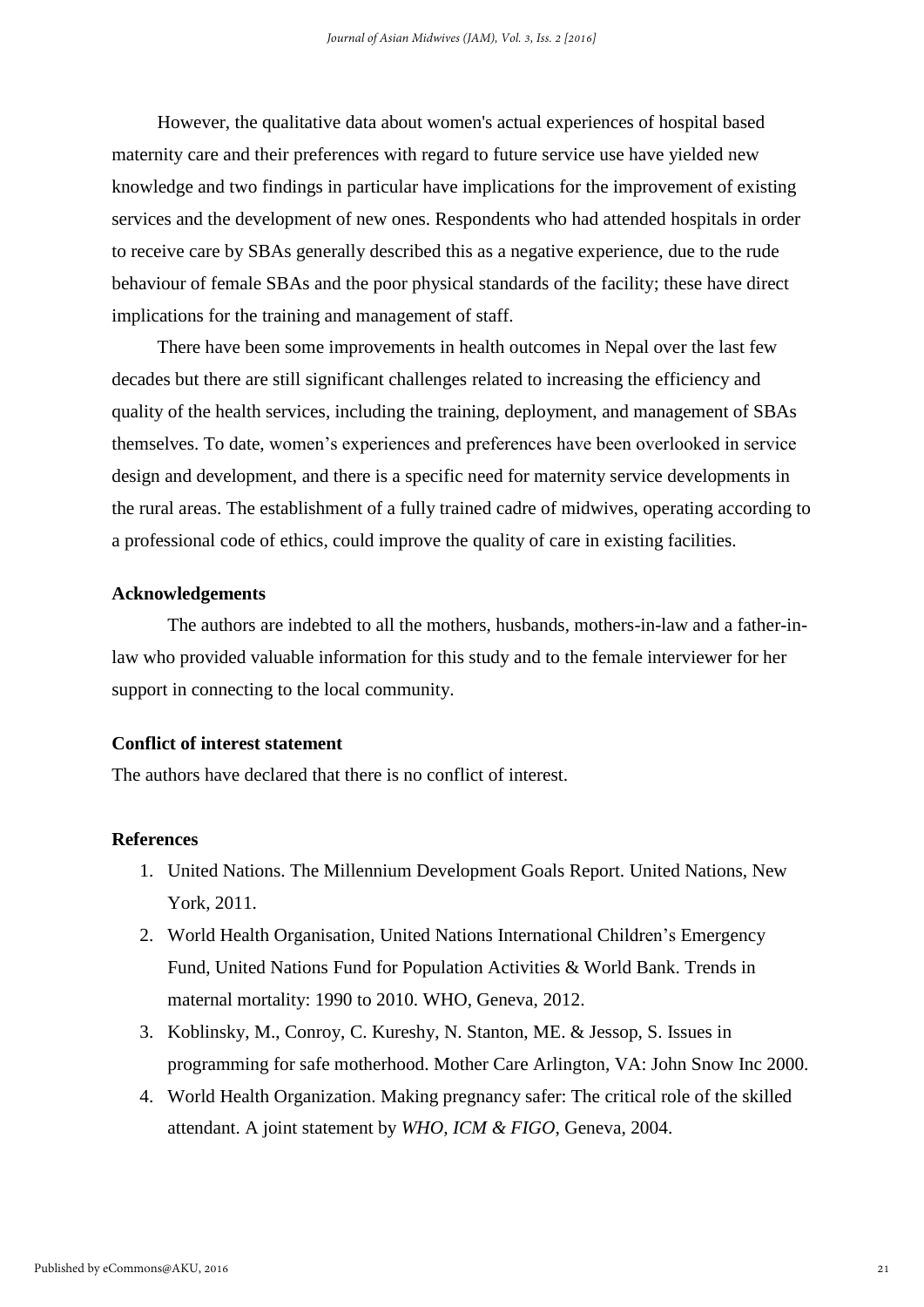However, the qualitative data about women's actual experiences of hospital based maternity care and their preferences with regard to future service use have yielded new knowledge and two findings in particular have implications for the improvement of existing services and the development of new ones. Respondents who had attended hospitals in order to receive care by SBAs generally described this as a negative experience, due to the rude behaviour of female SBAs and the poor physical standards of the facility; these have direct implications for the training and management of staff.

There have been some improvements in health outcomes in Nepal over the last few decades but there are still significant challenges related to increasing the efficiency and quality of the health services, including the training, deployment, and management of SBAs themselves. To date, women's experiences and preferences have been overlooked in service design and development, and there is a specific need for maternity service developments in the rural areas. The establishment of a fully trained cadre of midwives, operating according to a professional code of ethics, could improve the quality of care in existing facilities.

#### **Acknowledgements**

The authors are indebted to all the mothers, husbands, mothers-in-law and a father-inlaw who provided valuable information for this study and to the female interviewer for her support in connecting to the local community.

# **Conflict of interest statement**

The authors have declared that there is no conflict of interest.

## **References**

- 1. United Nations. The Millennium Development Goals Report. United Nations, New York, 2011.
- 2. World Health Organisation, United Nations International Children's Emergency Fund, United Nations Fund for Population Activities & World Bank. Trends in maternal mortality: 1990 to 2010. WHO, Geneva, 2012.
- 3. Koblinsky, M., Conroy, C. Kureshy, N. Stanton, ME. & Jessop, S. Issues in programming for safe motherhood. Mother Care Arlington, VA: John Snow Inc 2000.
- 4. World Health Organization. Making pregnancy safer: The critical role of the skilled attendant. A joint statement by *WHO, ICM & FIGO*, Geneva, 2004.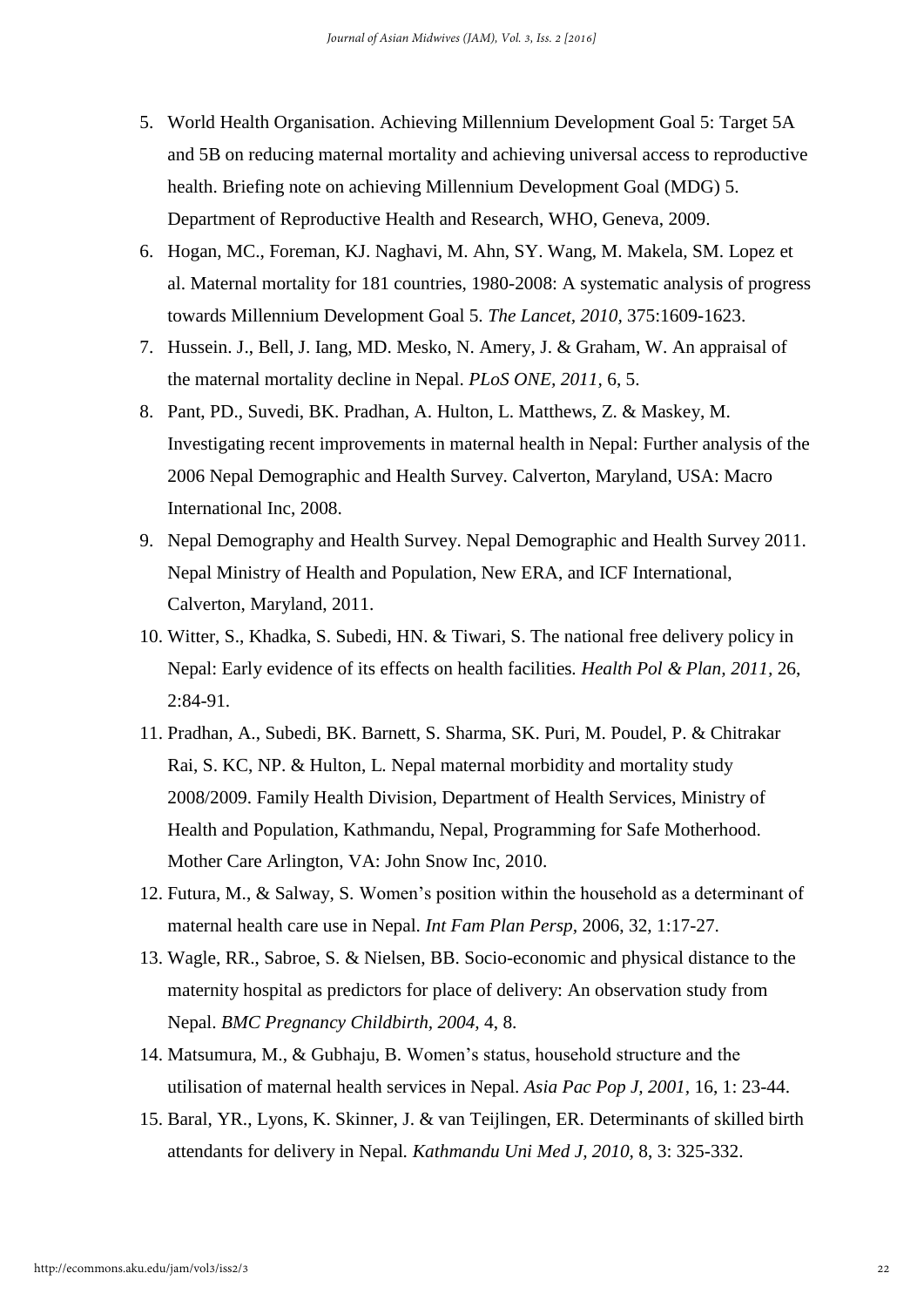- 5. World Health Organisation. Achieving Millennium Development Goal 5: Target 5A and 5B on reducing maternal mortality and achieving universal access to reproductive health. Briefing note on achieving Millennium Development Goal (MDG) 5. Department of Reproductive Health and Research, WHO, Geneva, 2009.
- 6. Hogan, MC., Foreman, KJ. Naghavi, M. Ahn, SY. Wang, M. Makela, SM. Lopez et al. Maternal mortality for 181 countries, 1980-2008: A systematic analysis of progress towards Millennium Development Goal 5*. The Lancet, 2010,* 375:1609-1623.
- 7. Hussein. J., Bell, J. Iang, MD. Mesko, N. Amery, J. & Graham, W. An appraisal of the maternal mortality decline in Nepal. *PLoS ONE, 2011,* 6, 5.
- 8. Pant, PD., Suvedi, BK. Pradhan, A. Hulton, L. Matthews, Z. & Maskey, M. Investigating recent improvements in maternal health in Nepal: Further analysis of the 2006 Nepal Demographic and Health Survey. Calverton, Maryland, USA: Macro International Inc, 2008.
- 9. Nepal Demography and Health Survey. Nepal Demographic and Health Survey 2011. Nepal Ministry of Health and Population, New ERA, and ICF International, Calverton, Maryland, 2011.
- 10. Witter, S., Khadka, S. Subedi, HN. & Tiwari, S. The national free delivery policy in Nepal: Early evidence of its effects on health facilities*. Health Pol & Plan, 2011,* 26, 2:84-91.
- 11. Pradhan, A., Subedi, BK. Barnett, S. Sharma, SK. Puri, M. Poudel, P. & Chitrakar Rai, S. KC, NP. & Hulton, L*.* Nepal maternal morbidity and mortality study 2008/2009. Family Health Division, Department of Health Services, Ministry of Health and Population, Kathmandu, Nepal, Programming for Safe Motherhood. Mother Care Arlington, VA: John Snow Inc, 2010.
- 12. Futura, M., & Salway, S. Women's position within the household as a determinant of maternal health care use in Nepal. *Int Fam Plan Persp,* 2006, 32, 1:17-27.
- 13. Wagle, RR., Sabroe, S. & Nielsen, BB. Socio-economic and physical distance to the maternity hospital as predictors for place of delivery: An observation study from Nepal. *BMC Pregnancy Childbirth, 2004,* 4, 8.
- 14. Matsumura, M., & Gubhaju, B. Women's status, household structure and the utilisation of maternal health services in Nepal. *Asia Pac Pop J, 2001,* 16, 1: 23-44.
- 15. Baral, YR., Lyons, K. Skinner, J. & van Teijlingen, ER. Determinants of skilled birth attendants for delivery in Nepal*. Kathmandu Uni Med J, 2010,* 8, 3: 325-332.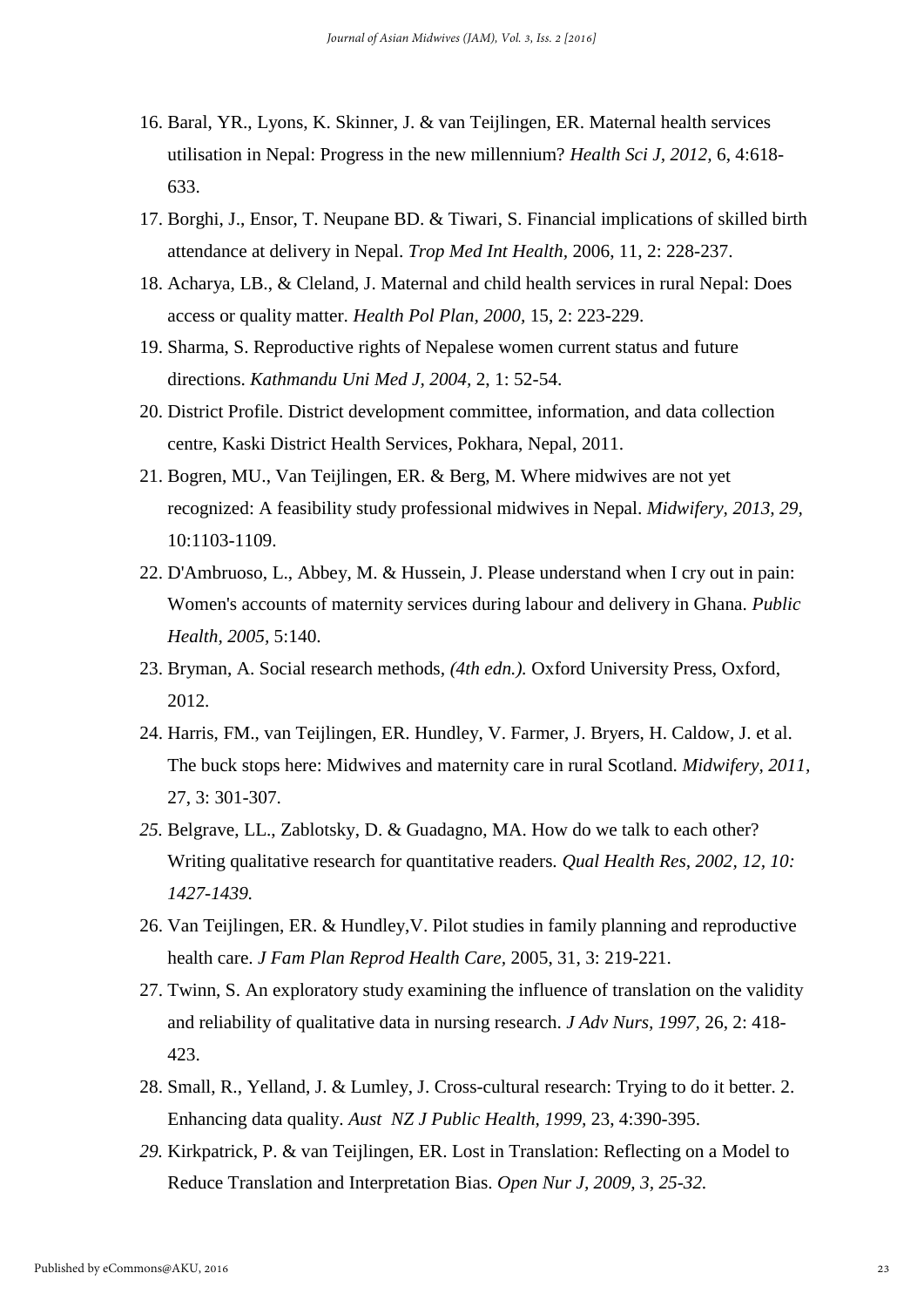- 16. Baral, YR., Lyons, K. Skinner, J. & van Teijlingen, ER. Maternal health services utilisation in Nepal: Progress in the new millennium? *Health Sci J, 2012,* 6, 4:618- 633.
- 17. Borghi, J., Ensor, T. Neupane BD. & Tiwari, S. Financial implications of skilled birth attendance at delivery in Nepal. *Trop Med Int Health,* 2006, 11, 2: 228-237.
- 18. Acharya, LB., & Cleland, J. Maternal and child health services in rural Nepal: Does access or quality matter. *Health Pol Plan, 2000,* 15, 2: 223-229.
- 19. Sharma, S. Reproductive rights of Nepalese women current status and future directions. *Kathmandu Uni Med J, 2004,* 2, 1: 52-54.
- 20. District Profile. District development committee, information, and data collection centre, Kaski District Health Services, Pokhara, Nepal, 2011.
- 21. Bogren, MU., Van Teijlingen, ER. & Berg, M. Where midwives are not yet recognized: A feasibility study professional midwives in Nepal. *Midwifery, 2013, 29,*  10:1103-1109.
- 22. D'Ambruoso, L., Abbey, M. & Hussein, J. Please understand when I cry out in pain: Women's accounts of maternity services during labour and delivery in Ghana*. Public Health, 2005,* 5:140.
- 23. Bryman, A. Social research methods*, (4th edn.).* Oxford University Press, Oxford, 2012.
- 24. Harris, FM., van Teijlingen, ER. Hundley, V. Farmer, J. Bryers, H. Caldow, J. et al. The buck stops here: Midwives and maternity care in rural Scotland. *Midwifery, 2011,* 27, 3: 301-307.
- *25.* Belgrave, LL., Zablotsky, D. & Guadagno, MA. How do we talk to each other? Writing qualitative research for quantitative readers*. Qual Health Res, 2002, 12, 10: 1427-1439.*
- 26. Van Teijlingen, ER. & Hundley,V. Pilot studies in family planning and reproductive health care. *J Fam Plan Reprod Health Care,* 2005, 31, 3: 219-221.
- 27. Twinn, S. An exploratory study examining the influence of translation on the validity and reliability of qualitative data in nursing research. *J Adv Nurs, 1997,* 26, 2: 418- 423.
- 28. Small, R., Yelland, J. & Lumley, J. Cross-cultural research: Trying to do it better. 2. Enhancing data quality. *Aust NZ J Public Health, 1999,* 23, 4:390-395.
- *29.* Kirkpatrick, P. & van Teijlingen, ER. Lost in Translation: Reflecting on a Model to Reduce Translation and Interpretation Bias. *Open Nur J, 2009, 3, 25-32.*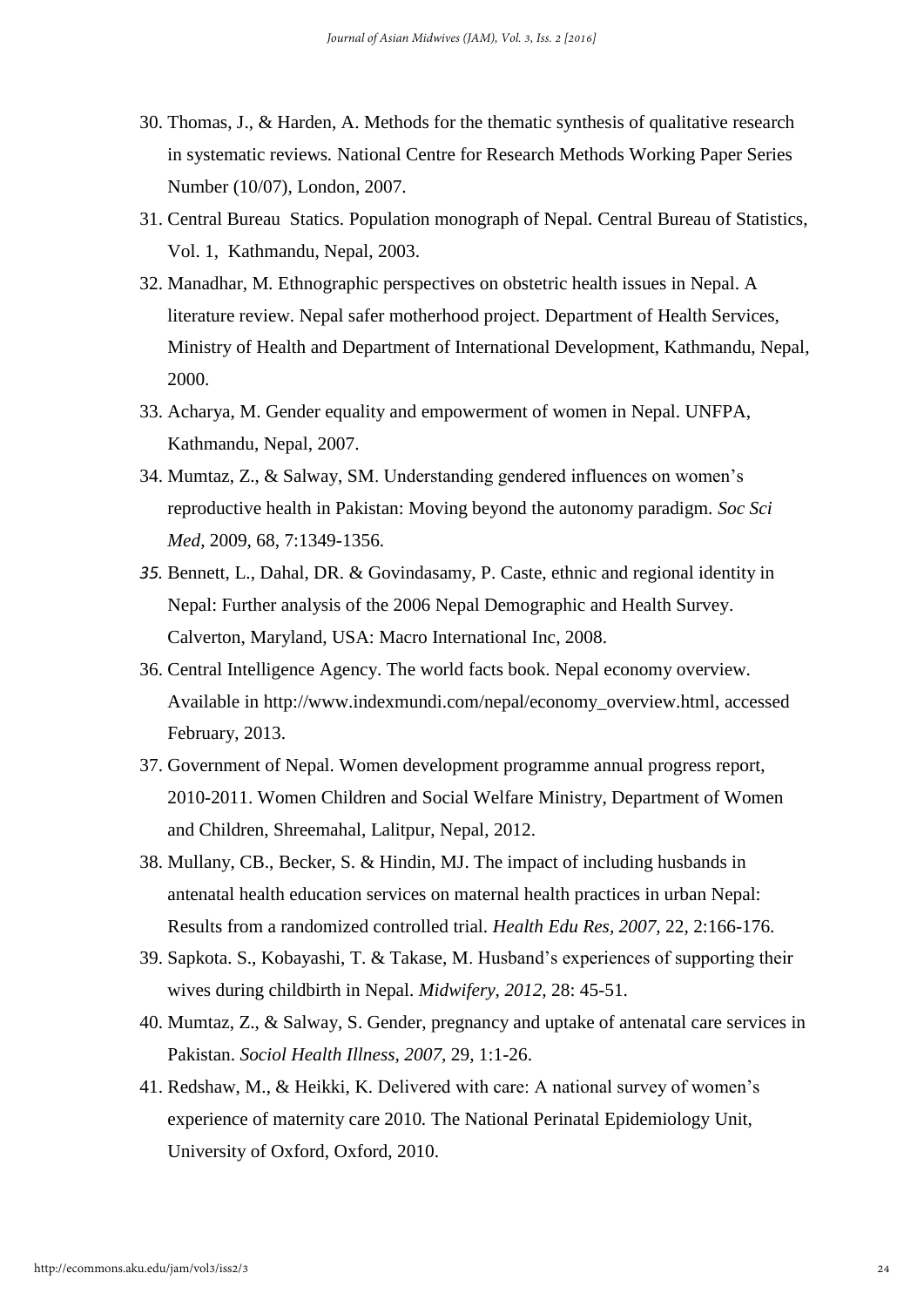- 30. Thomas, J., & Harden, A. Methods for the thematic synthesis of qualitative research in systematic reviews*.* National Centre for Research Methods Working Paper Series Number (10/07), London, 2007.
- 31. Central Bureau Statics. Population monograph of Nepal*.* Central Bureau of Statistics, Vol. 1, Kathmandu, Nepal, 2003.
- 32. Manadhar, M*.* Ethnographic perspectives on obstetric health issues in Nepal. A literature review. Nepal safer motherhood project. Department of Health Services, Ministry of Health and Department of International Development, Kathmandu, Nepal, 2000.
- 33. Acharya, M. Gender equality and empowerment of women in Nepal. UNFPA, Kathmandu, Nepal, 2007.
- 34. Mumtaz, Z., & Salway, SM. Understanding gendered influences on women's reproductive health in Pakistan: Moving beyond the autonomy paradigm. *Soc Sci Med,* 2009, 68, 7:1349-1356.
- *35.* Bennett, L., Dahal, DR. & Govindasamy, P. Caste, ethnic and regional identity in Nepal: Further analysis of the 2006 Nepal Demographic and Health Survey. Calverton, Maryland, USA: Macro International Inc, 2008.
- 36. Central Intelligence Agency. The world facts book. Nepal economy overview. Available in [http://www.indexmundi.com/nepal/economy\\_overview.html,](http://www.indexmundi.com/nepal/economy_overview.html) accessed February, 2013.
- 37. Government of Nepal. Women development programme annual progress report, 2010-2011. Women Children and Social Welfare Ministry, Department of Women and Children, Shreemahal, Lalitpur, Nepal, 2012.
- 38. Mullany, CB., Becker, S. & Hindin, MJ. The impact of including husbands in antenatal health education services on maternal health practices in urban Nepal: Results from a randomized controlled trial. *Health Edu Res, 2007,* 22, 2:166-176.
- 39. Sapkota. S., Kobayashi, T. & Takase, M. Husband's experiences of supporting their wives during childbirth in Nepal. *Midwifery, 2012,* 28: 45-51.
- 40. Mumtaz, Z., & Salway, S. Gender, pregnancy and uptake of antenatal care services in Pakistan. *Sociol Health Illness, 2007,* 29, 1:1-26.
- 41. Redshaw, M., & Heikki, K. Delivered with care: A national survey of women's experience of maternity care 2010*.* The National Perinatal Epidemiology Unit, University of Oxford, Oxford, 2010.